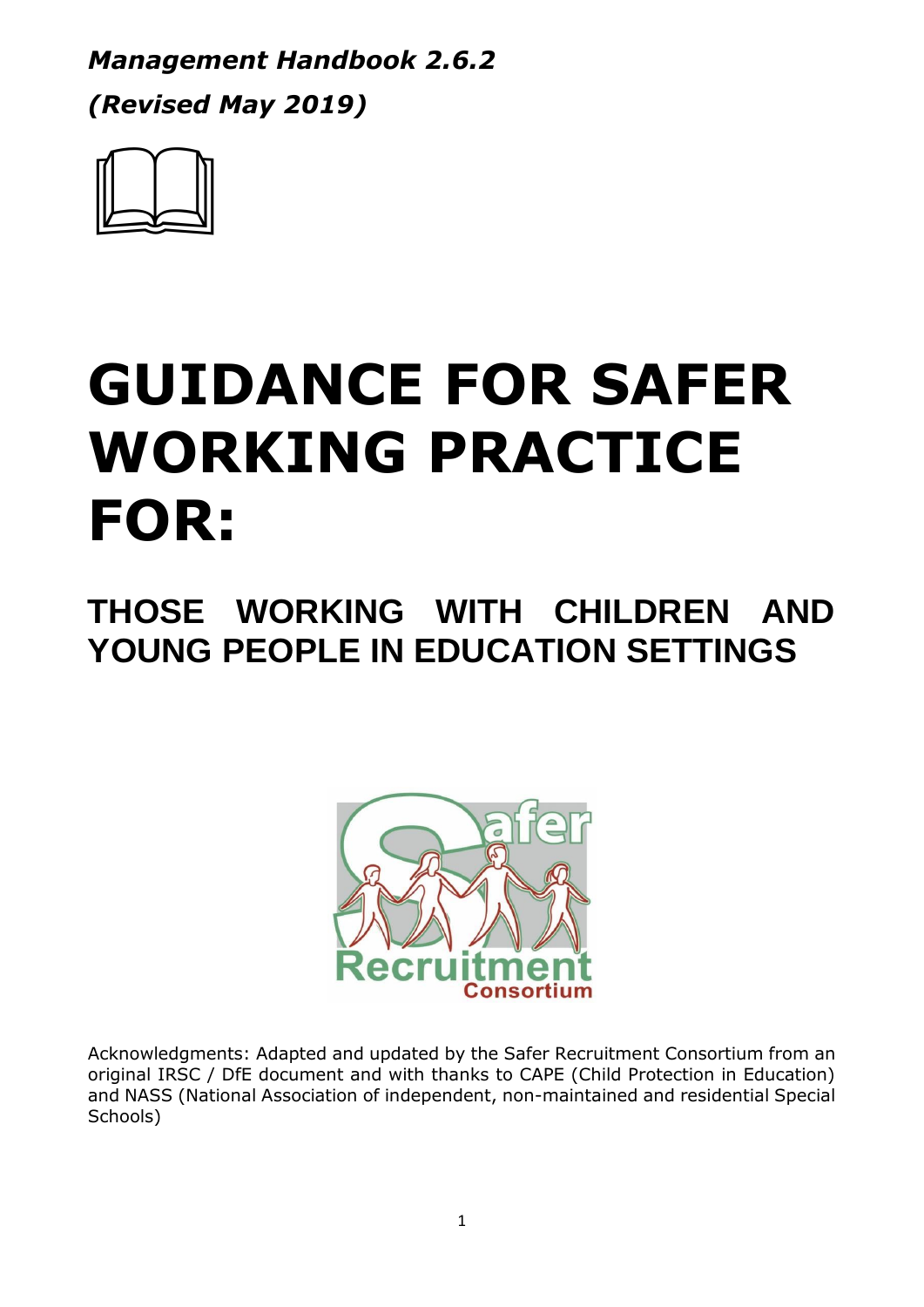*Management Handbook 2.6.2 (Revised May 2019)*



# **GUIDANCE FOR SAFER WORKING PRACTICE FOR:**

# **THOSE WORKING WITH CHILDREN AND YOUNG PEOPLE IN EDUCATION SETTINGS**



Acknowledgments: Adapted and updated by the Safer Recruitment Consortium from an original IRSC / DfE document and with thanks to CAPE (Child Protection in Education) and NASS (National Association of independent, non-maintained and residential Special Schools)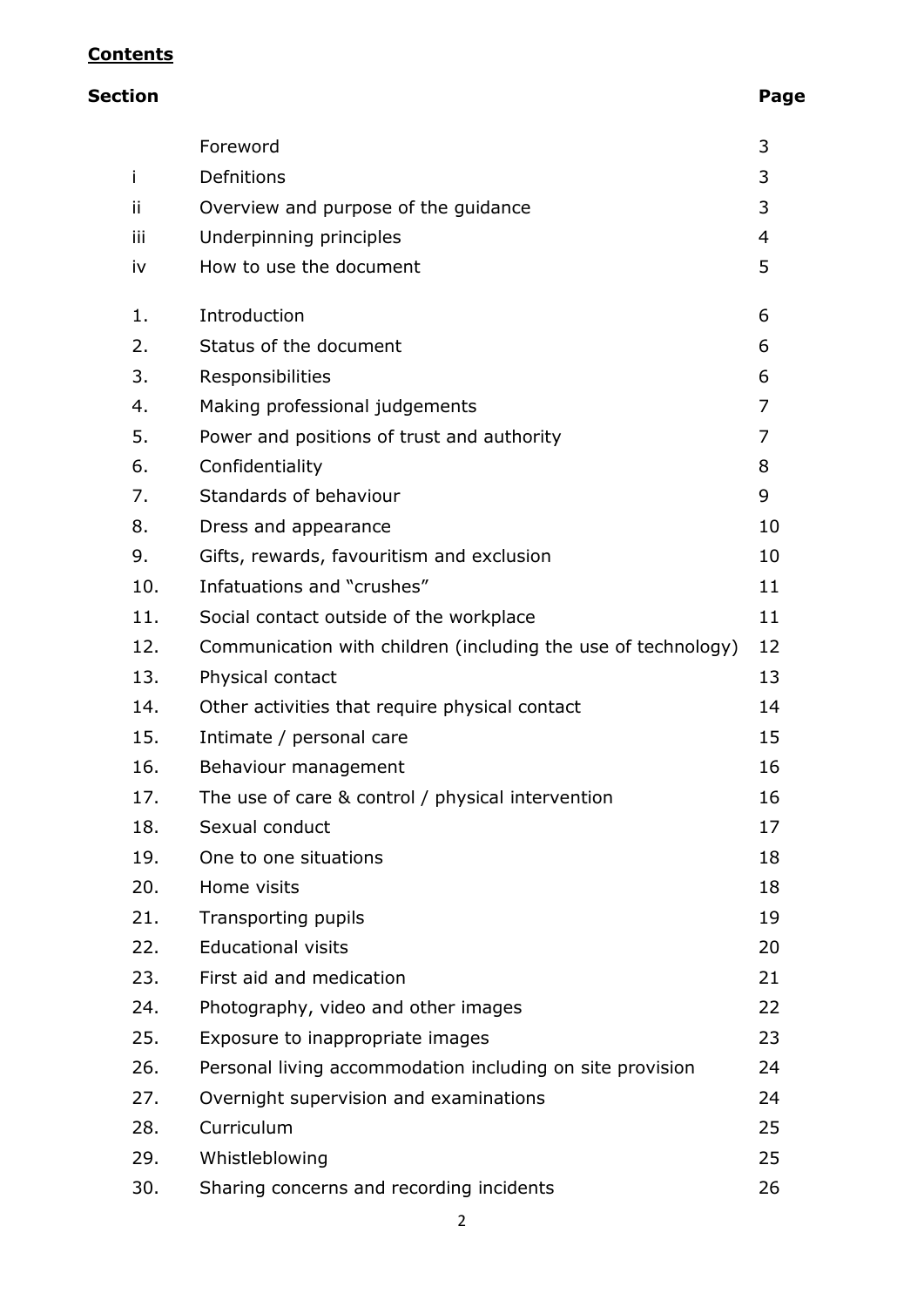### **Contents**

## **Section Page**

|     | Foreword                                                      | 3              |
|-----|---------------------------------------------------------------|----------------|
| j.  | Defnitions                                                    | 3              |
| Ϊİ  | Overview and purpose of the guidance                          | 3              |
| iii | Underpinning principles                                       | $\overline{4}$ |
| iv  | How to use the document                                       | 5              |
| 1.  | Introduction                                                  | 6              |
| 2.  | Status of the document                                        | 6              |
| 3.  | Responsibilities                                              | 6              |
| 4.  | Making professional judgements                                | 7              |
| 5.  | Power and positions of trust and authority                    | $\overline{7}$ |
| 6.  | Confidentiality                                               | 8              |
| 7.  | Standards of behaviour                                        | 9              |
| 8.  | Dress and appearance                                          | 10             |
| 9.  | Gifts, rewards, favouritism and exclusion                     | 10             |
| 10. | Infatuations and "crushes"                                    | 11             |
| 11. | Social contact outside of the workplace                       | 11             |
| 12. | Communication with children (including the use of technology) | 12             |
| 13. | Physical contact                                              | 13             |
| 14. | Other activities that require physical contact                | 14             |
| 15. | Intimate / personal care                                      | 15             |
| 16. | Behaviour management                                          | 16             |
| 17. | The use of care & control / physical intervention             | 16             |
| 18. | Sexual conduct                                                | 17             |
| 19. | One to one situations                                         | 18             |
| 20. | Home visits                                                   | 18             |
| 21. | Transporting pupils                                           | 19             |
| 22. | <b>Educational visits</b>                                     | 20             |
| 23. | First aid and medication                                      | 21             |
| 24. | Photography, video and other images                           | 22             |
| 25. | Exposure to inappropriate images                              | 23             |
| 26. | Personal living accommodation including on site provision     | 24             |
| 27. | Overnight supervision and examinations                        | 24             |
| 28. | Curriculum                                                    | 25             |
| 29. | Whistleblowing                                                | 25             |
| 30. | Sharing concerns and recording incidents                      | 26             |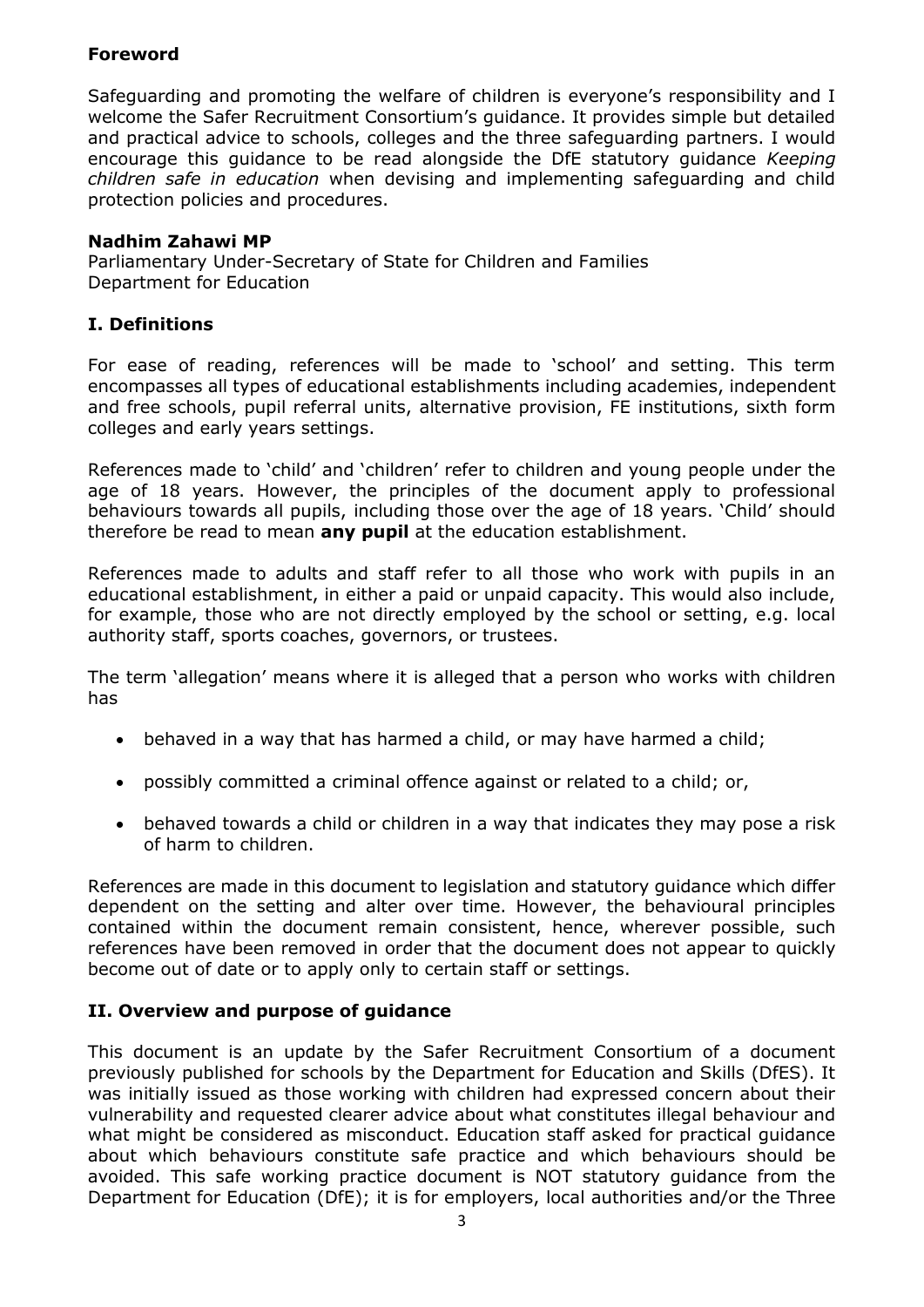#### **Foreword**

Safeguarding and promoting the welfare of children is everyone's responsibility and I welcome the Safer Recruitment Consortium's guidance. It provides simple but detailed and practical advice to schools, colleges and the three safeguarding partners. I would encourage this guidance to be read alongside the DfE statutory guidance *Keeping children safe in education* when devising and implementing safeguarding and child protection policies and procedures.

#### **Nadhim Zahawi MP**

Parliamentary Under-Secretary of State for Children and Families Department for Education

#### **I. Definitions**

For ease of reading, references will be made to 'school' and setting. This term encompasses all types of educational establishments including academies, independent and free schools, pupil referral units, alternative provision, FE institutions, sixth form colleges and early years settings.

References made to 'child' and 'children' refer to children and young people under the age of 18 years. However, the principles of the document apply to professional behaviours towards all pupils, including those over the age of 18 years. 'Child' should therefore be read to mean **any pupil** at the education establishment.

References made to adults and staff refer to all those who work with pupils in an educational establishment, in either a paid or unpaid capacity. This would also include, for example, those who are not directly employed by the school or setting, e.g. local authority staff, sports coaches, governors, or trustees.

The term 'allegation' means where it is alleged that a person who works with children has

- behaved in a way that has harmed a child, or may have harmed a child;
- possibly committed a criminal offence against or related to a child; or,
- behaved towards a child or children in a way that indicates they may pose a risk of harm to children.

References are made in this document to legislation and statutory guidance which differ dependent on the setting and alter over time. However, the behavioural principles contained within the document remain consistent, hence, wherever possible, such references have been removed in order that the document does not appear to quickly become out of date or to apply only to certain staff or settings.

#### **II. Overview and purpose of guidance**

This document is an update by the Safer Recruitment Consortium of a document previously published for schools by the Department for Education and Skills (DfES). It was initially issued as those working with children had expressed concern about their vulnerability and requested clearer advice about what constitutes illegal behaviour and what might be considered as misconduct. Education staff asked for practical guidance about which behaviours constitute safe practice and which behaviours should be avoided. This safe working practice document is NOT statutory guidance from the Department for Education (DfE); it is for employers, local authorities and/or the Three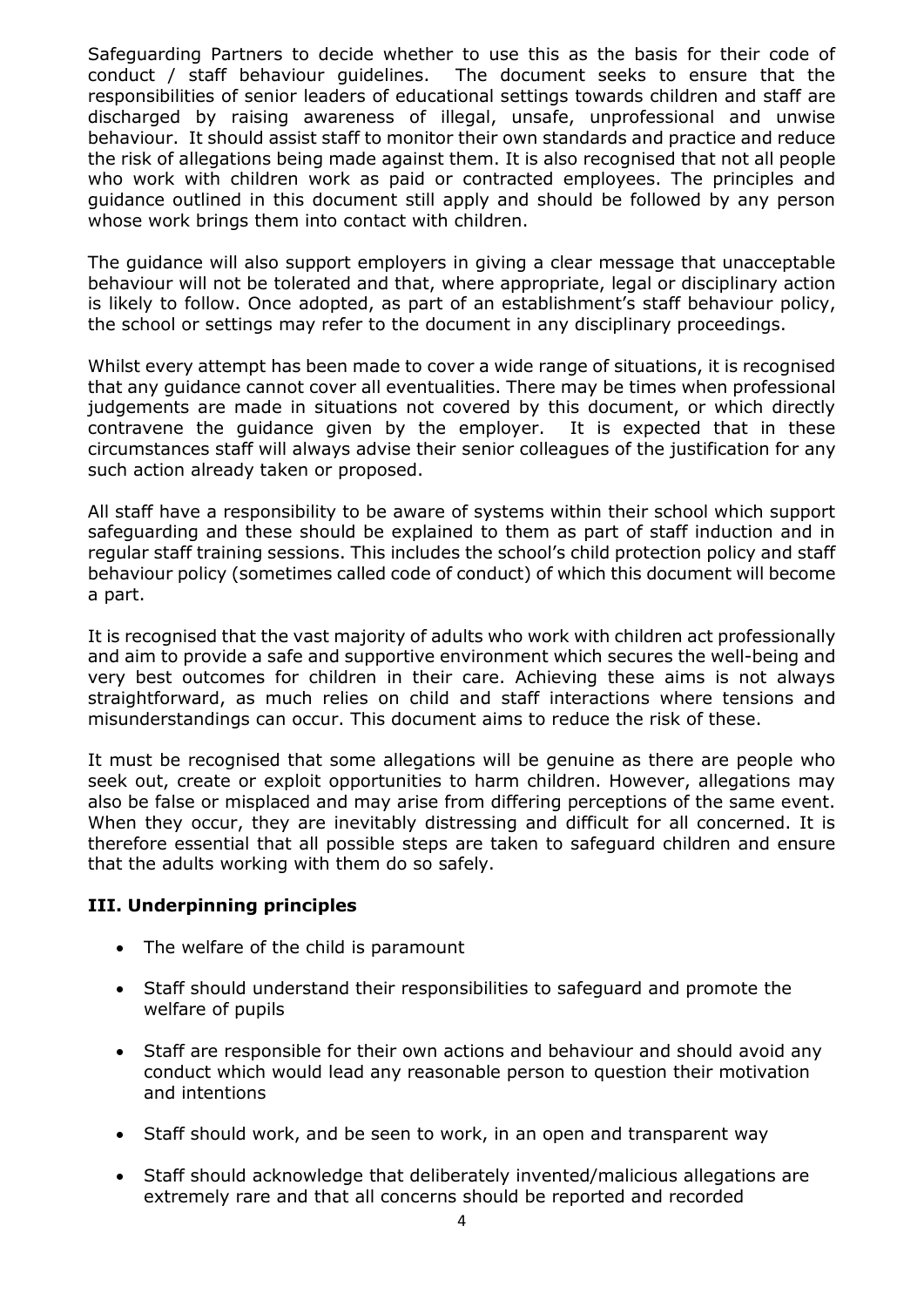Safeguarding Partners to decide whether to use this as the basis for their code of conduct / staff behaviour guidelines. The document seeks to ensure that the responsibilities of senior leaders of educational settings towards children and staff are discharged by raising awareness of illegal, unsafe, unprofessional and unwise behaviour. It should assist staff to monitor their own standards and practice and reduce the risk of allegations being made against them. It is also recognised that not all people who work with children work as paid or contracted employees. The principles and guidance outlined in this document still apply and should be followed by any person whose work brings them into contact with children.

The guidance will also support employers in giving a clear message that unacceptable behaviour will not be tolerated and that, where appropriate, legal or disciplinary action is likely to follow. Once adopted, as part of an establishment's staff behaviour policy, the school or settings may refer to the document in any disciplinary proceedings.

Whilst every attempt has been made to cover a wide range of situations, it is recognised that any guidance cannot cover all eventualities. There may be times when professional judgements are made in situations not covered by this document, or which directly contravene the guidance given by the employer. It is expected that in these circumstances staff will always advise their senior colleagues of the justification for any such action already taken or proposed.

All staff have a responsibility to be aware of systems within their school which support safeguarding and these should be explained to them as part of staff induction and in regular staff training sessions. This includes the school's child protection policy and staff behaviour policy (sometimes called code of conduct) of which this document will become a part.

It is recognised that the vast majority of adults who work with children act professionally and aim to provide a safe and supportive environment which secures the well-being and very best outcomes for children in their care. Achieving these aims is not always straightforward, as much relies on child and staff interactions where tensions and misunderstandings can occur. This document aims to reduce the risk of these.

It must be recognised that some allegations will be genuine as there are people who seek out, create or exploit opportunities to harm children. However, allegations may also be false or misplaced and may arise from differing perceptions of the same event. When they occur, they are inevitably distressing and difficult for all concerned. It is therefore essential that all possible steps are taken to safeguard children and ensure that the adults working with them do so safely.

#### **III. Underpinning principles**

- The welfare of the child is paramount
- Staff should understand their responsibilities to safeguard and promote the welfare of pupils
- Staff are responsible for their own actions and behaviour and should avoid any conduct which would lead any reasonable person to question their motivation and intentions
- Staff should work, and be seen to work, in an open and transparent way
- Staff should acknowledge that deliberately invented/malicious allegations are extremely rare and that all concerns should be reported and recorded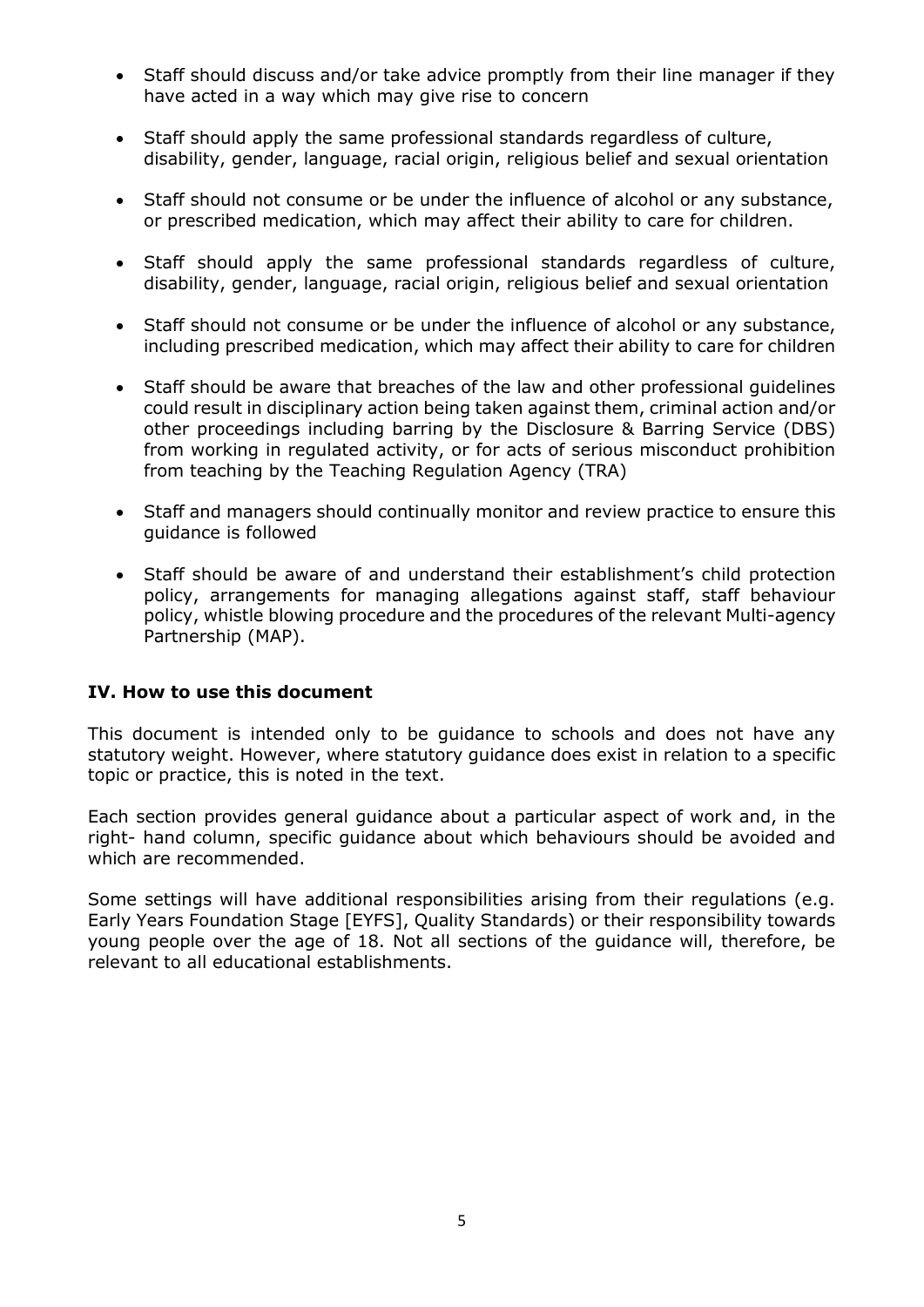- Staff should discuss and/or take advice promptly from their line manager if they have acted in a way which may give rise to concern
- Staff should apply the same professional standards regardless of culture, disability, gender, language, racial origin, religious belief and sexual orientation
- Staff should not consume or be under the influence of alcohol or any substance, or prescribed medication, which may affect their ability to care for children.
- Staff should apply the same professional standards regardless of culture, disability, gender, language, racial origin, religious belief and sexual orientation
- Staff should not consume or be under the influence of alcohol or any substance, including prescribed medication, which may affect their ability to care for children
- Staff should be aware that breaches of the law and other professional guidelines could result in disciplinary action being taken against them, criminal action and/or other proceedings including barring by the Disclosure & Barring Service (DBS) from working in regulated activity, or for acts of serious misconduct prohibition from teaching by the Teaching Regulation Agency (TRA)
- Staff and managers should continually monitor and review practice to ensure this guidance is followed
- Staff should be aware of and understand their establishment's child protection policy, arrangements for managing allegations against staff, staff behaviour policy, whistle blowing procedure and the procedures of the relevant Multi-agency Partnership (MAP).

#### **IV. How to use this document**

This document is intended only to be guidance to schools and does not have any statutory weight. However, where statutory guidance does exist in relation to a specific topic or practice, this is noted in the text.

Each section provides general guidance about a particular aspect of work and, in the right- hand column, specific guidance about which behaviours should be avoided and which are recommended.

Some settings will have additional responsibilities arising from their regulations (e.g. Early Years Foundation Stage [EYFS], Quality Standards) or their responsibility towards young people over the age of 18. Not all sections of the guidance will, therefore, be relevant to all educational establishments.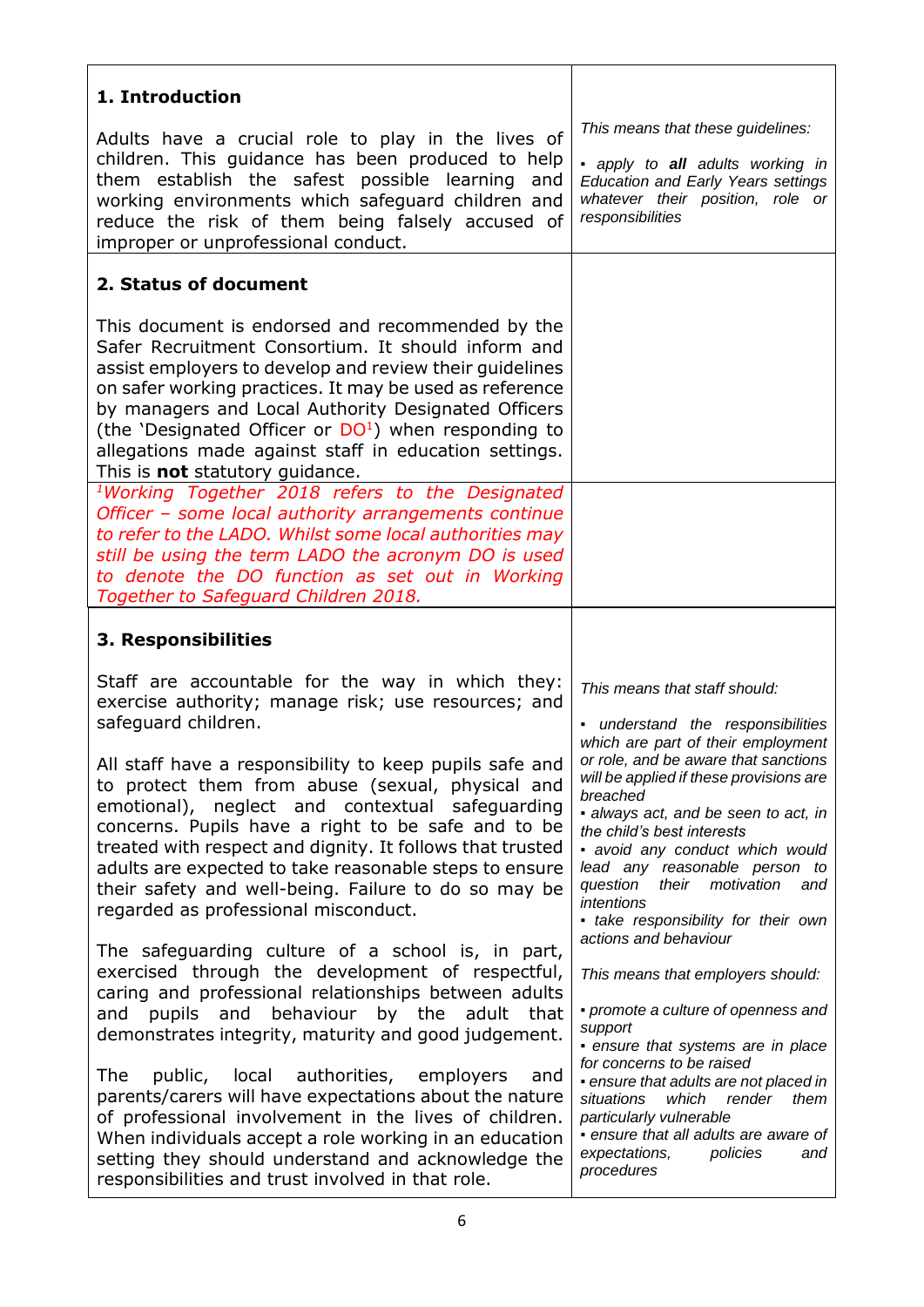| 1. Introduction                                                                                                                                                                                                                                                                                                                                                                                                                                                                                                                                                                                                                                                                                                                                                                                                                                                  |                                                                                                                                                                                                                                                                                                                                                                                                                                                                                                                                                                                                                                     |
|------------------------------------------------------------------------------------------------------------------------------------------------------------------------------------------------------------------------------------------------------------------------------------------------------------------------------------------------------------------------------------------------------------------------------------------------------------------------------------------------------------------------------------------------------------------------------------------------------------------------------------------------------------------------------------------------------------------------------------------------------------------------------------------------------------------------------------------------------------------|-------------------------------------------------------------------------------------------------------------------------------------------------------------------------------------------------------------------------------------------------------------------------------------------------------------------------------------------------------------------------------------------------------------------------------------------------------------------------------------------------------------------------------------------------------------------------------------------------------------------------------------|
| Adults have a crucial role to play in the lives of<br>children. This guidance has been produced to help<br>them establish the safest possible learning and<br>working environments which safeguard children and<br>reduce the risk of them being falsely accused of<br>improper or unprofessional conduct.                                                                                                                                                                                                                                                                                                                                                                                                                                                                                                                                                       | This means that these guidelines:<br>· apply to all adults working in<br><b>Education and Early Years settings</b><br>whatever their position, role or<br>responsibilities                                                                                                                                                                                                                                                                                                                                                                                                                                                          |
| 2. Status of document                                                                                                                                                                                                                                                                                                                                                                                                                                                                                                                                                                                                                                                                                                                                                                                                                                            |                                                                                                                                                                                                                                                                                                                                                                                                                                                                                                                                                                                                                                     |
| This document is endorsed and recommended by the<br>Safer Recruitment Consortium. It should inform and<br>assist employers to develop and review their guidelines<br>on safer working practices. It may be used as reference<br>by managers and Local Authority Designated Officers<br>(the 'Designated Officer or $DO1$ ) when responding to<br>allegations made against staff in education settings.<br>This is <b>not</b> statutory guidance.                                                                                                                                                                                                                                                                                                                                                                                                                 |                                                                                                                                                                                                                                                                                                                                                                                                                                                                                                                                                                                                                                     |
| <sup>1</sup> Working Together 2018 refers to the Designated<br>Officer - some local authority arrangements continue<br>to refer to the LADO. Whilst some local authorities may<br>still be using the term LADO the acronym DO is used<br>to denote the DO function as set out in Working<br>Together to Safeguard Children 2018.                                                                                                                                                                                                                                                                                                                                                                                                                                                                                                                                 |                                                                                                                                                                                                                                                                                                                                                                                                                                                                                                                                                                                                                                     |
| 3. Responsibilities                                                                                                                                                                                                                                                                                                                                                                                                                                                                                                                                                                                                                                                                                                                                                                                                                                              |                                                                                                                                                                                                                                                                                                                                                                                                                                                                                                                                                                                                                                     |
| Staff are accountable for the way in which they:<br>exercise authority; manage risk; use resources; and<br>safeguard children.<br>All staff have a responsibility to keep pupils safe and<br>to protect them from abuse (sexual, physical and<br>emotional), neglect and contextual safeguarding<br>concerns. Pupils have a right to be safe and to be<br>treated with respect and dignity. It follows that trusted<br>adults are expected to take reasonable steps to ensure<br>their safety and well-being. Failure to do so may be<br>regarded as professional misconduct.<br>The safeguarding culture of a school is, in part,<br>exercised through the development of respectful,<br>caring and professional relationships between adults<br>and behaviour by the<br>adult<br>that<br>and<br>pupils<br>demonstrates integrity, maturity and good judgement. | This means that staff should:<br>- understand the responsibilities<br>which are part of their employment<br>or role, and be aware that sanctions<br>will be applied if these provisions are<br>breached<br>· always act, and be seen to act, in<br>the child's best interests<br>• avoid any conduct which would<br>lead any reasonable person to<br>question<br>their<br>motivation<br>and<br>intentions<br>• take responsibility for their own<br>actions and behaviour<br>This means that employers should:<br>• promote a culture of openness and<br>support<br>• ensure that systems are in place<br>for concerns to be raised |
| public, local authorities, employers<br>The<br>and<br>parents/carers will have expectations about the nature<br>of professional involvement in the lives of children.<br>When individuals accept a role working in an education<br>setting they should understand and acknowledge the<br>responsibilities and trust involved in that role.                                                                                                                                                                                                                                                                                                                                                                                                                                                                                                                       | • ensure that adults are not placed in<br>situations<br>which<br>render<br>them<br>particularly vulnerable<br>• ensure that all adults are aware of<br>expectations,<br>policies<br>and<br>procedures                                                                                                                                                                                                                                                                                                                                                                                                                               |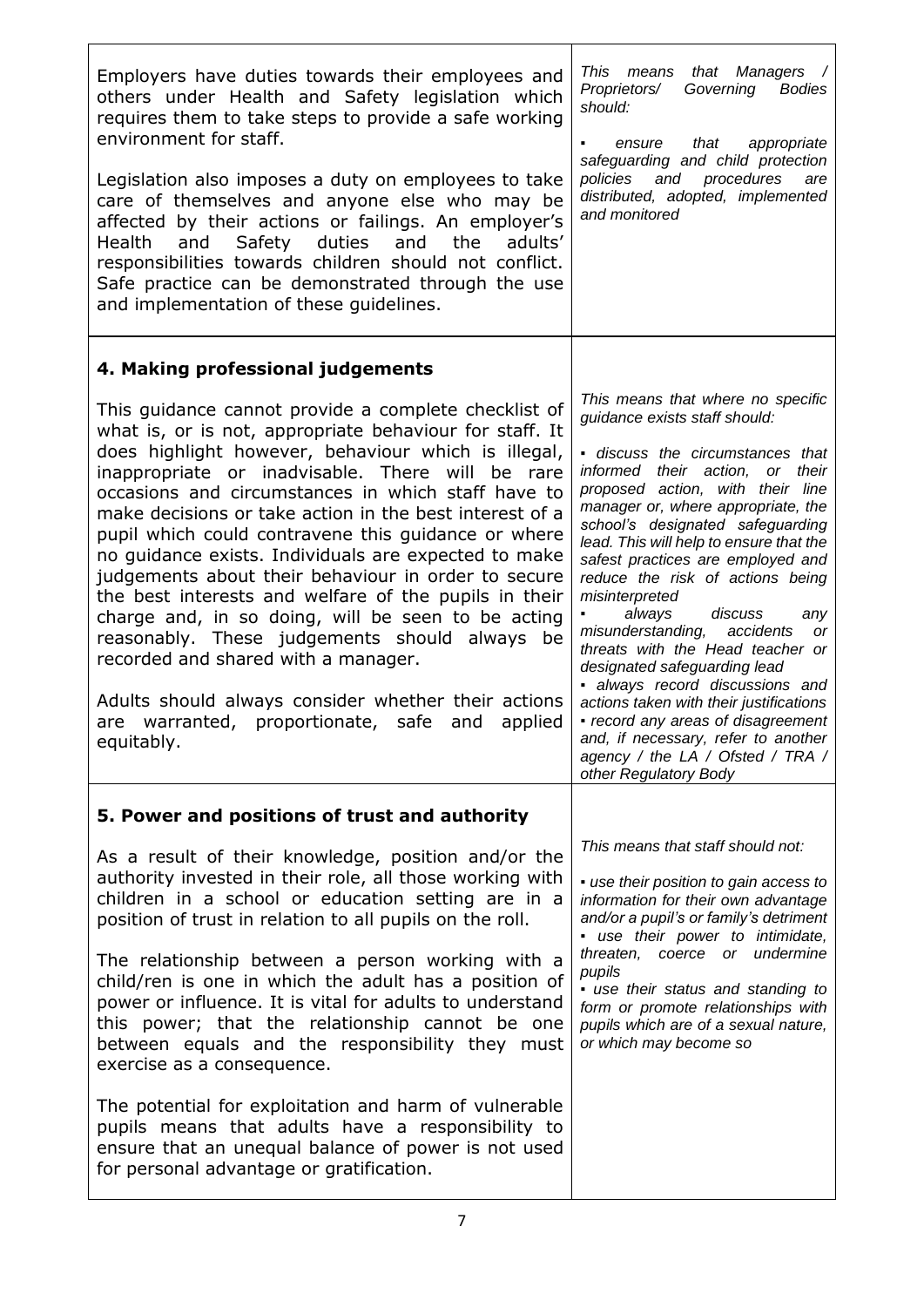| Employers have duties towards their employees and<br>others under Health and Safety legislation which<br>requires them to take steps to provide a safe working<br>environment for staff.<br>Legislation also imposes a duty on employees to take<br>care of themselves and anyone else who may be<br>affected by their actions or failings. An employer's<br>and Safety duties and the<br>adults'<br>Health<br>responsibilities towards children should not conflict.<br>Safe practice can be demonstrated through the use<br>and implementation of these guidelines.                                                                                                                                                                                                                                                                              | This means<br>that Managers /<br>Governing<br>Proprietors/<br><b>Bodies</b><br>should:<br>that<br>ensure<br>appropriate<br>safeguarding and child protection<br>policies and procedures<br>are<br>distributed, adopted, implemented<br>and monitored                                                                                                                                                                                                                                                                                                                                                                                                                                                                                                              |
|----------------------------------------------------------------------------------------------------------------------------------------------------------------------------------------------------------------------------------------------------------------------------------------------------------------------------------------------------------------------------------------------------------------------------------------------------------------------------------------------------------------------------------------------------------------------------------------------------------------------------------------------------------------------------------------------------------------------------------------------------------------------------------------------------------------------------------------------------|-------------------------------------------------------------------------------------------------------------------------------------------------------------------------------------------------------------------------------------------------------------------------------------------------------------------------------------------------------------------------------------------------------------------------------------------------------------------------------------------------------------------------------------------------------------------------------------------------------------------------------------------------------------------------------------------------------------------------------------------------------------------|
| 4. Making professional judgements                                                                                                                                                                                                                                                                                                                                                                                                                                                                                                                                                                                                                                                                                                                                                                                                                  |                                                                                                                                                                                                                                                                                                                                                                                                                                                                                                                                                                                                                                                                                                                                                                   |
| This guidance cannot provide a complete checklist of<br>what is, or is not, appropriate behaviour for staff. It<br>does highlight however, behaviour which is illegal,<br>inappropriate or inadvisable. There will be rare<br>occasions and circumstances in which staff have to<br>make decisions or take action in the best interest of a<br>pupil which could contravene this guidance or where<br>no guidance exists. Individuals are expected to make<br>judgements about their behaviour in order to secure<br>the best interests and welfare of the pupils in their<br>charge and, in so doing, will be seen to be acting<br>reasonably. These judgements should always be<br>recorded and shared with a manager.<br>Adults should always consider whether their actions<br>are warranted, proportionate, safe and<br>applied<br>equitably. | This means that where no specific<br>guidance exists staff should:<br>- discuss the circumstances that<br>informed their action, or their<br>proposed action, with their line<br>manager or, where appropriate, the<br>school's designated safeguarding<br>lead. This will help to ensure that the<br>safest practices are employed and<br>reduce the risk of actions being<br>misinterpreted<br>always<br>discuss<br>any<br>misunderstanding, accidents<br><b>or</b><br>threats with the Head teacher or<br>designated safeguarding lead<br>· always record discussions and<br>actions taken with their justifications<br>• record any areas of disagreement<br>and, if necessary, refer to another<br>agency / the LA / Ofsted / TRA /<br>other Regulatory Body |
| 5. Power and positions of trust and authority                                                                                                                                                                                                                                                                                                                                                                                                                                                                                                                                                                                                                                                                                                                                                                                                      |                                                                                                                                                                                                                                                                                                                                                                                                                                                                                                                                                                                                                                                                                                                                                                   |
| As a result of their knowledge, position and/or the<br>authority invested in their role, all those working with<br>children in a school or education setting are in a<br>position of trust in relation to all pupils on the roll.<br>The relationship between a person working with a<br>child/ren is one in which the adult has a position of<br>power or influence. It is vital for adults to understand                                                                                                                                                                                                                                                                                                                                                                                                                                         | This means that staff should not:<br>• use their position to gain access to<br>information for their own advantage<br>and/or a pupil's or family's detriment<br>· use their power to intimidate,<br>threaten, coerce or undermine<br>pupils<br>· use their status and standing to<br>form or promote relationships with                                                                                                                                                                                                                                                                                                                                                                                                                                           |
| this power; that the relationship cannot be one<br>between equals and the responsibility they must<br>exercise as a consequence.                                                                                                                                                                                                                                                                                                                                                                                                                                                                                                                                                                                                                                                                                                                   | pupils which are of a sexual nature,<br>or which may become so                                                                                                                                                                                                                                                                                                                                                                                                                                                                                                                                                                                                                                                                                                    |
| The potential for exploitation and harm of vulnerable<br>pupils means that adults have a responsibility to<br>ensure that an unequal balance of power is not used<br>for personal advantage or gratification.                                                                                                                                                                                                                                                                                                                                                                                                                                                                                                                                                                                                                                      |                                                                                                                                                                                                                                                                                                                                                                                                                                                                                                                                                                                                                                                                                                                                                                   |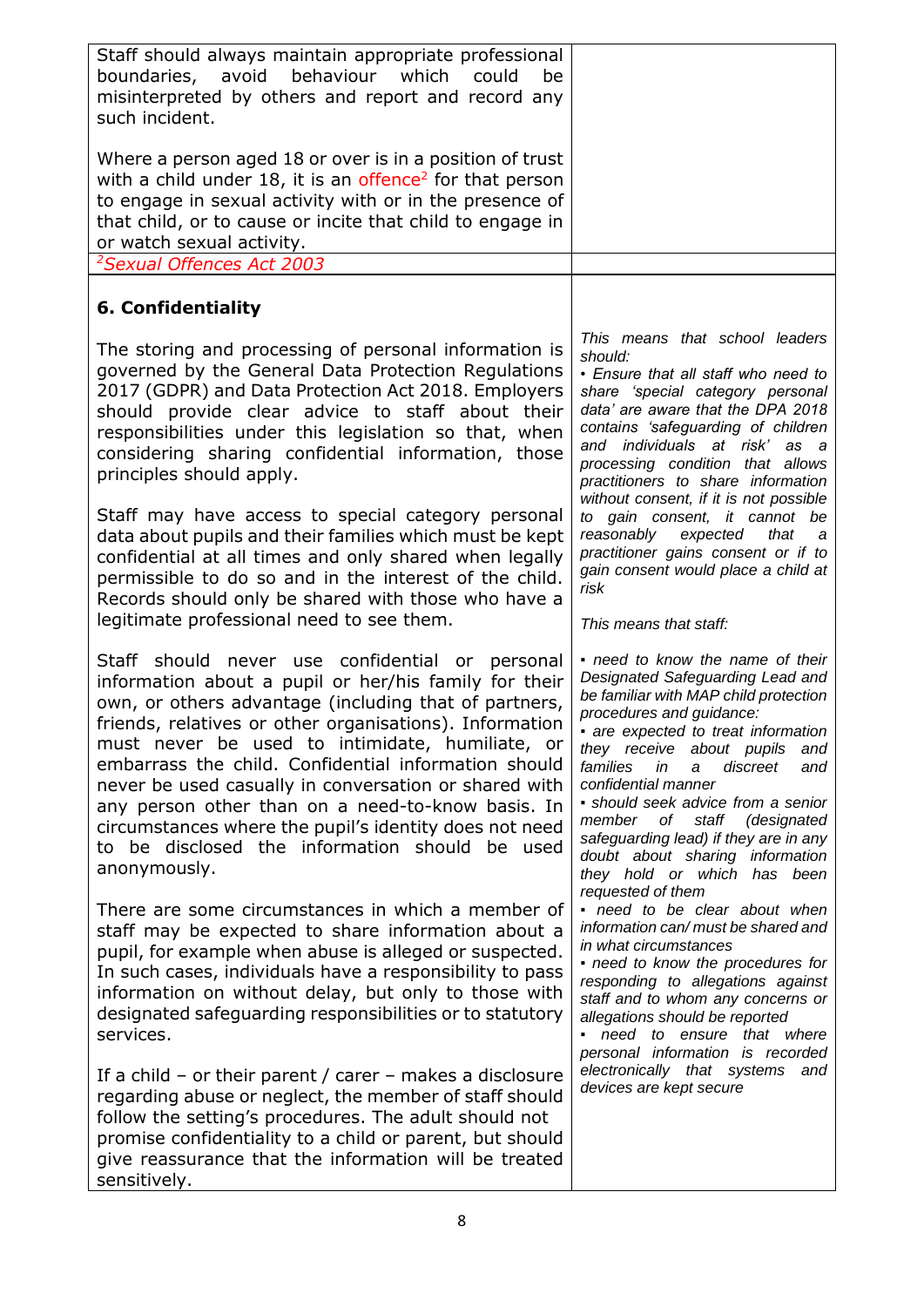| Staff should always maintain appropriate professional<br>boundaries, avoid<br>behaviour<br>which<br>could<br>be<br>misinterpreted by others and report and record any<br>such incident.<br>Where a person aged 18 or over is in a position of trust                                                                                                                                                                                                                                                                                                                               |                                                                                                                                                                                                                                                                                                                                                                                                                                                                                                    |
|-----------------------------------------------------------------------------------------------------------------------------------------------------------------------------------------------------------------------------------------------------------------------------------------------------------------------------------------------------------------------------------------------------------------------------------------------------------------------------------------------------------------------------------------------------------------------------------|----------------------------------------------------------------------------------------------------------------------------------------------------------------------------------------------------------------------------------------------------------------------------------------------------------------------------------------------------------------------------------------------------------------------------------------------------------------------------------------------------|
| with a child under 18, it is an offence <sup>2</sup> for that person<br>to engage in sexual activity with or in the presence of<br>that child, or to cause or incite that child to engage in<br>or watch sexual activity.<br><sup>2</sup> Sexual Offences Act 2003                                                                                                                                                                                                                                                                                                                |                                                                                                                                                                                                                                                                                                                                                                                                                                                                                                    |
| 6. Confidentiality                                                                                                                                                                                                                                                                                                                                                                                                                                                                                                                                                                |                                                                                                                                                                                                                                                                                                                                                                                                                                                                                                    |
| The storing and processing of personal information is<br>governed by the General Data Protection Regulations<br>2017 (GDPR) and Data Protection Act 2018. Employers<br>should provide clear advice to staff about their<br>responsibilities under this legislation so that, when<br>considering sharing confidential information, those<br>principles should apply.                                                                                                                                                                                                               | This means that school leaders<br>should:<br>• Ensure that all staff who need to<br>share 'special category personal<br>data' are aware that the DPA 2018<br>contains 'safeguarding of children<br>and individuals at risk' as a<br>processing condition that allows<br>practitioners to share information<br>without consent, if it is not possible                                                                                                                                               |
| Staff may have access to special category personal<br>data about pupils and their families which must be kept<br>confidential at all times and only shared when legally<br>permissible to do so and in the interest of the child.<br>Records should only be shared with those who have a<br>legitimate professional need to see them.                                                                                                                                                                                                                                             | to gain consent, it cannot be<br>reasonably<br>expected<br>that<br>a<br>practitioner gains consent or if to<br>gain consent would place a child at<br>risk<br>This means that staff:                                                                                                                                                                                                                                                                                                               |
| Staff should never use confidential or personal<br>information about a pupil or her/his family for their<br>own, or others advantage (including that of partners,<br>friends, relatives or other organisations). Information<br>must never be used to intimidate, humiliate, or<br>embarrass the child. Confidential information should<br>never be used casually in conversation or shared with<br>any person other than on a need-to-know basis. In<br>circumstances where the pupil's identity does not need<br>to be disclosed the information should be used<br>anonymously. | - need to know the name of their<br>Designated Safeguarding Lead and<br>be familiar with MAP child protection<br>procedures and guidance:<br>• are expected to treat information<br>they receive about pupils and<br>families<br>in<br>discreet<br>$\mathsf{a}$<br>and<br>confidential manner<br>· should seek advice from a senior<br>member of staff (designated<br>safeguarding lead) if they are in any<br>doubt about sharing information<br>they hold or which has been<br>requested of them |
| There are some circumstances in which a member of<br>staff may be expected to share information about a<br>pupil, for example when abuse is alleged or suspected.<br>In such cases, individuals have a responsibility to pass<br>information on without delay, but only to those with<br>designated safeguarding responsibilities or to statutory<br>services.                                                                                                                                                                                                                    | - need to be clear about when<br>information can/ must be shared and<br>in what circumstances<br>• need to know the procedures for<br>responding to allegations against<br>staff and to whom any concerns or<br>allegations should be reported<br>• need to ensure that where<br>personal information is recorded                                                                                                                                                                                  |
| If a child – or their parent / carer – makes a disclosure<br>regarding abuse or neglect, the member of staff should<br>follow the setting's procedures. The adult should not<br>promise confidentiality to a child or parent, but should<br>give reassurance that the information will be treated<br>sensitively.                                                                                                                                                                                                                                                                 | electronically that systems and<br>devices are kept secure                                                                                                                                                                                                                                                                                                                                                                                                                                         |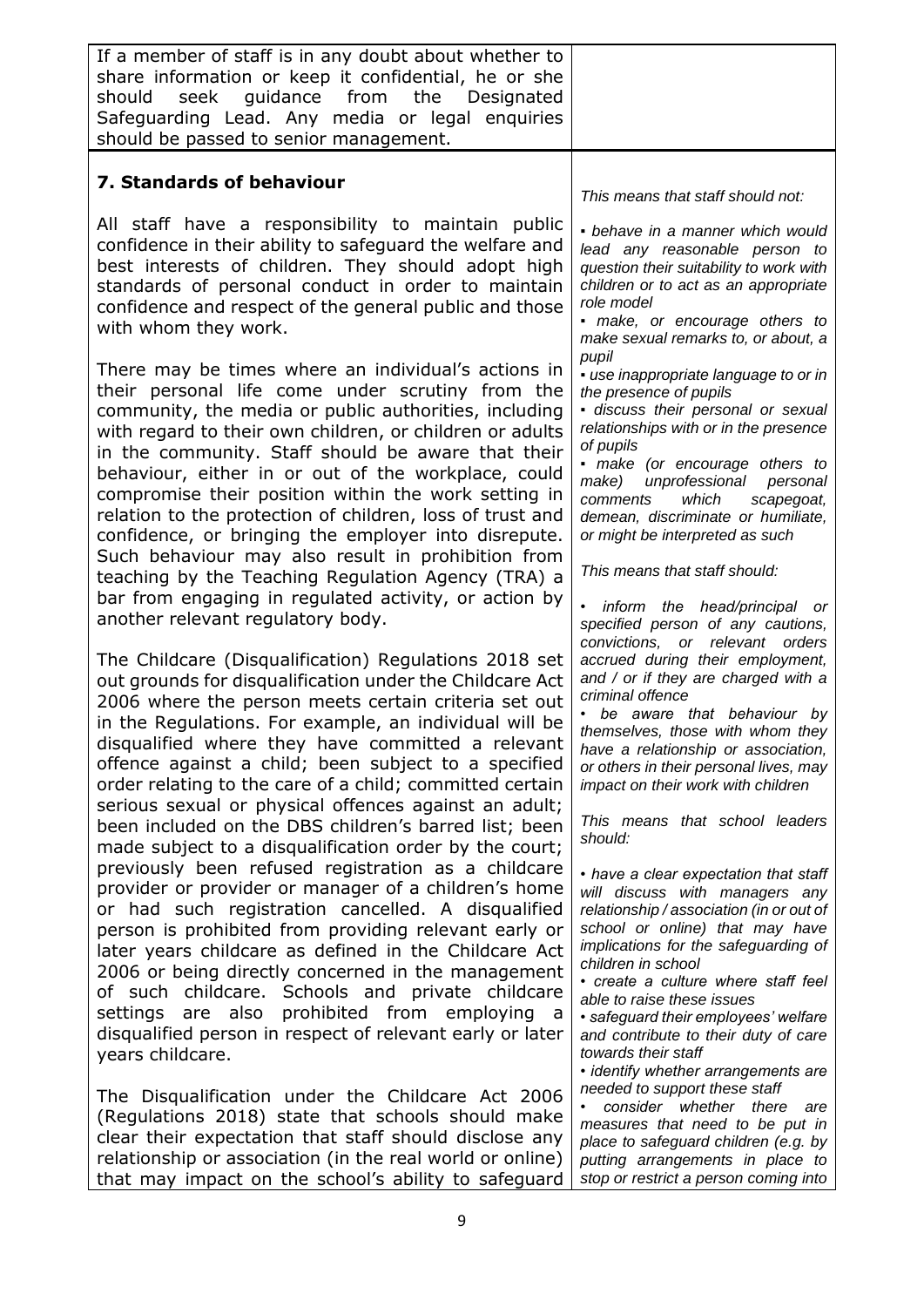| If a member of staff is in any doubt about whether to<br>share information or keep it confidential, he or she<br>seek guidance from the<br>should<br>Designated<br>Safeguarding Lead. Any media or legal enquiries<br>should be passed to senior management.                                                                                                                                                                                                                                                                                                                                                                                                                                                                                                                                                                                                                                                                                                                                                                                                                                                                   |                                                                                                                                                                                                                                                                                                                                                                                                                                                                                                                                                                                                                                                                                                                                                                                                                   |
|--------------------------------------------------------------------------------------------------------------------------------------------------------------------------------------------------------------------------------------------------------------------------------------------------------------------------------------------------------------------------------------------------------------------------------------------------------------------------------------------------------------------------------------------------------------------------------------------------------------------------------------------------------------------------------------------------------------------------------------------------------------------------------------------------------------------------------------------------------------------------------------------------------------------------------------------------------------------------------------------------------------------------------------------------------------------------------------------------------------------------------|-------------------------------------------------------------------------------------------------------------------------------------------------------------------------------------------------------------------------------------------------------------------------------------------------------------------------------------------------------------------------------------------------------------------------------------------------------------------------------------------------------------------------------------------------------------------------------------------------------------------------------------------------------------------------------------------------------------------------------------------------------------------------------------------------------------------|
| 7. Standards of behaviour                                                                                                                                                                                                                                                                                                                                                                                                                                                                                                                                                                                                                                                                                                                                                                                                                                                                                                                                                                                                                                                                                                      | This means that staff should not:                                                                                                                                                                                                                                                                                                                                                                                                                                                                                                                                                                                                                                                                                                                                                                                 |
| All staff have a responsibility to maintain public<br>confidence in their ability to safeguard the welfare and<br>best interests of children. They should adopt high<br>standards of personal conduct in order to maintain<br>confidence and respect of the general public and those<br>with whom they work.                                                                                                                                                                                                                                                                                                                                                                                                                                                                                                                                                                                                                                                                                                                                                                                                                   | • behave in a manner which would<br>lead any reasonable person to<br>question their suitability to work with<br>children or to act as an appropriate<br>role model<br>· make, or encourage others to<br>make sexual remarks to, or about, a                                                                                                                                                                                                                                                                                                                                                                                                                                                                                                                                                                       |
| There may be times where an individual's actions in<br>their personal life come under scrutiny from the<br>community, the media or public authorities, including<br>with regard to their own children, or children or adults<br>in the community. Staff should be aware that their<br>behaviour, either in or out of the workplace, could<br>compromise their position within the work setting in<br>relation to the protection of children, loss of trust and<br>confidence, or bringing the employer into disrepute.<br>Such behaviour may also result in prohibition from<br>teaching by the Teaching Regulation Agency (TRA) a<br>bar from engaging in regulated activity, or action by<br>another relevant regulatory body.                                                                                                                                                                                                                                                                                                                                                                                               | pupil<br>· use inappropriate language to or in<br>the presence of pupils<br>· discuss their personal or sexual<br>relationships with or in the presence<br>of pupils<br>· make (or encourage others to<br>make) unprofessional personal<br>comments<br>which<br>scapegoat,<br>demean, discriminate or humiliate,<br>or might be interpreted as such<br>This means that staff should:<br>• inform the head/principal or<br>specified person of any cautions,                                                                                                                                                                                                                                                                                                                                                       |
| The Childcare (Disqualification) Regulations 2018 set<br>out grounds for disqualification under the Childcare Act<br>2006 where the person meets certain criteria set out<br>in the Regulations. For example, an individual will be<br>disqualified where they have committed a relevant<br>offence against a child; been subject to a specified<br>order relating to the care of a child; committed certain<br>serious sexual or physical offences against an adult;<br>been included on the DBS children's barred list; been<br>made subject to a disqualification order by the court;<br>previously been refused registration as a childcare<br>provider or provider or manager of a children's home<br>or had such registration cancelled. A disqualified<br>person is prohibited from providing relevant early or<br>later years childcare as defined in the Childcare Act<br>2006 or being directly concerned in the management<br>of such childcare. Schools and private childcare<br>prohibited from employing a<br>settings are also<br>disqualified person in respect of relevant early or later<br>years childcare. | convictions, or relevant orders<br>accrued during their employment,<br>and / or if they are charged with a<br>criminal offence<br>• be aware that behaviour by<br>themselves, those with whom they<br>have a relationship or association,<br>or others in their personal lives, may<br>impact on their work with children<br>This means that school leaders<br>should:<br>• have a clear expectation that staff<br>will discuss with managers any<br>relationship / association (in or out of<br>school or online) that may have<br>implications for the safeguarding of<br>children in school<br>· create a culture where staff feel<br>able to raise these issues<br>· safeguard their employees' welfare<br>and contribute to their duty of care<br>towards their staff<br>· identify whether arrangements are |
| The Disqualification under the Childcare Act 2006<br>(Regulations 2018) state that schools should make<br>clear their expectation that staff should disclose any<br>relationship or association (in the real world or online)<br>that may impact on the school's ability to safeguard                                                                                                                                                                                                                                                                                                                                                                                                                                                                                                                                                                                                                                                                                                                                                                                                                                          | needed to support these staff<br>consider whether there are<br>measures that need to be put in<br>place to safeguard children (e.g. by<br>putting arrangements in place to<br>stop or restrict a person coming into                                                                                                                                                                                                                                                                                                                                                                                                                                                                                                                                                                                               |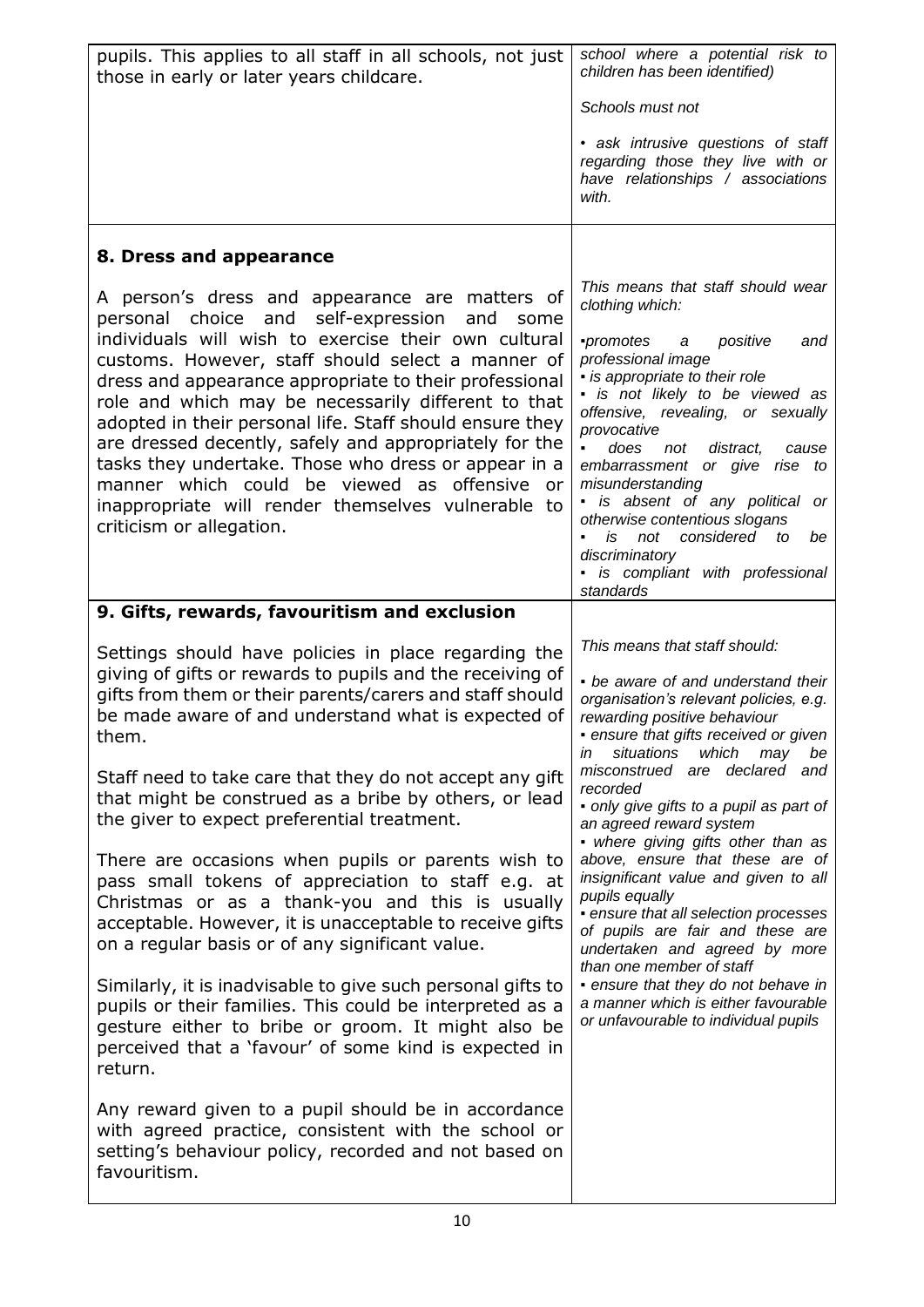| pupils. This applies to all staff in all schools, not just<br>those in early or later years childcare.                                                                                                                                                                                                                                                                                                                                                                                                                                                                                                                                             | school where a potential risk to<br>children has been identified)                                                                                                                                                                                                                                                                                                                                                                                                                                    |
|----------------------------------------------------------------------------------------------------------------------------------------------------------------------------------------------------------------------------------------------------------------------------------------------------------------------------------------------------------------------------------------------------------------------------------------------------------------------------------------------------------------------------------------------------------------------------------------------------------------------------------------------------|------------------------------------------------------------------------------------------------------------------------------------------------------------------------------------------------------------------------------------------------------------------------------------------------------------------------------------------------------------------------------------------------------------------------------------------------------------------------------------------------------|
|                                                                                                                                                                                                                                                                                                                                                                                                                                                                                                                                                                                                                                                    | Schools must not                                                                                                                                                                                                                                                                                                                                                                                                                                                                                     |
|                                                                                                                                                                                                                                                                                                                                                                                                                                                                                                                                                                                                                                                    | · ask intrusive questions of staff<br>regarding those they live with or<br>have relationships / associations<br>with.                                                                                                                                                                                                                                                                                                                                                                                |
| 8. Dress and appearance                                                                                                                                                                                                                                                                                                                                                                                                                                                                                                                                                                                                                            |                                                                                                                                                                                                                                                                                                                                                                                                                                                                                                      |
| A person's dress and appearance are matters of<br>personal choice and self-expression<br>and<br>some<br>individuals will wish to exercise their own cultural<br>customs. However, staff should select a manner of<br>dress and appearance appropriate to their professional<br>role and which may be necessarily different to that<br>adopted in their personal life. Staff should ensure they<br>are dressed decently, safely and appropriately for the<br>tasks they undertake. Those who dress or appear in a<br>manner which could be viewed as offensive or<br>inappropriate will render themselves vulnerable to<br>criticism or allegation. | This means that staff should wear<br>clothing which:<br>promotes<br>positive<br>a<br>and<br>professional image<br>· is appropriate to their role<br>· is not likely to be viewed as<br>offensive, revealing, or sexually<br>provocative<br>does not<br>distract,<br>cause<br>embarrassment or give rise to<br>misunderstanding<br>is absent of any political or<br>otherwise contentious slogans<br>not considered to<br>is<br>be<br>discriminatory<br>· is compliant with professional<br>standards |
| 9. Gifts, rewards, favouritism and exclusion                                                                                                                                                                                                                                                                                                                                                                                                                                                                                                                                                                                                       |                                                                                                                                                                                                                                                                                                                                                                                                                                                                                                      |
| Settings should have policies in place regarding the<br>giving of gifts or rewards to pupils and the receiving of<br>gifts from them or their parents/carers and staff should<br>be made aware of and understand what is expected of<br>them.                                                                                                                                                                                                                                                                                                                                                                                                      | This means that staff should:<br>• be aware of and understand their<br>organisation's relevant policies, e.g.<br>rewarding positive behaviour<br>· ensure that gifts received or given<br>in situations which may be                                                                                                                                                                                                                                                                                 |
| Staff need to take care that they do not accept any gift<br>that might be construed as a bribe by others, or lead<br>the giver to expect preferential treatment.                                                                                                                                                                                                                                                                                                                                                                                                                                                                                   | misconstrued are declared and<br>recorded<br>• only give gifts to a pupil as part of<br>an agreed reward system<br>• where giving gifts other than as                                                                                                                                                                                                                                                                                                                                                |
| There are occasions when pupils or parents wish to<br>pass small tokens of appreciation to staff e.g. at<br>Christmas or as a thank-you and this is usually<br>acceptable. However, it is unacceptable to receive gifts<br>on a regular basis or of any significant value.                                                                                                                                                                                                                                                                                                                                                                         | above, ensure that these are of<br>insignificant value and given to all<br>pupils equally<br>· ensure that all selection processes<br>of pupils are fair and these are<br>undertaken and agreed by more<br>than one member of staff                                                                                                                                                                                                                                                                  |
| Similarly, it is inadvisable to give such personal gifts to<br>pupils or their families. This could be interpreted as a<br>gesture either to bribe or groom. It might also be<br>perceived that a 'favour' of some kind is expected in<br>return.                                                                                                                                                                                                                                                                                                                                                                                                  | • ensure that they do not behave in<br>a manner which is either favourable<br>or unfavourable to individual pupils                                                                                                                                                                                                                                                                                                                                                                                   |
| Any reward given to a pupil should be in accordance<br>with agreed practice, consistent with the school or<br>setting's behaviour policy, recorded and not based on<br>favouritism.                                                                                                                                                                                                                                                                                                                                                                                                                                                                |                                                                                                                                                                                                                                                                                                                                                                                                                                                                                                      |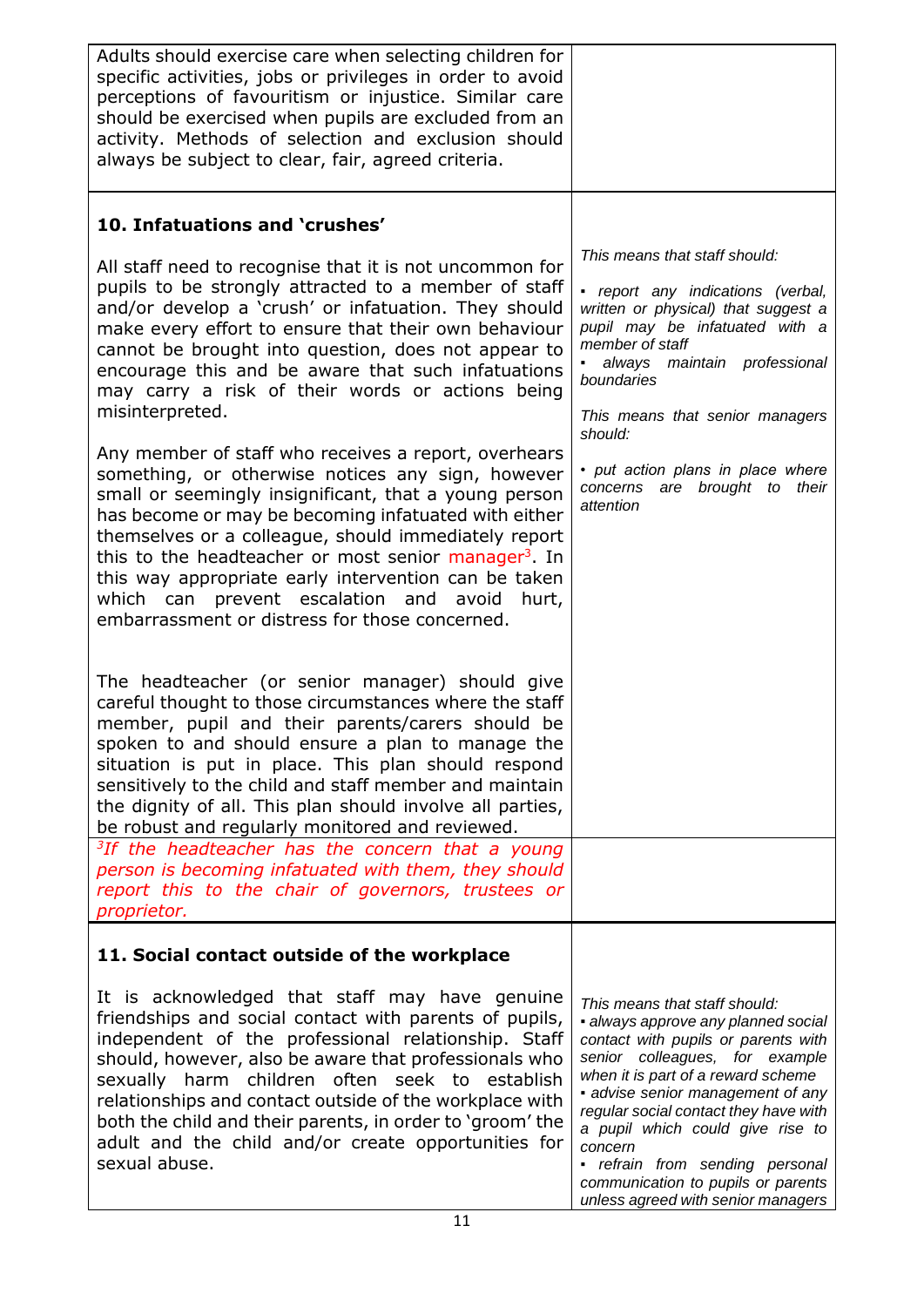| Adults should exercise care when selecting children for<br>specific activities, jobs or privileges in order to avoid<br>perceptions of favouritism or injustice. Similar care<br>should be exercised when pupils are excluded from an<br>activity. Methods of selection and exclusion should<br>always be subject to clear, fair, agreed criteria.                                                                                                                                                               |                                                                                                                                                                                                                                                                                                                                                                                                                                 |
|------------------------------------------------------------------------------------------------------------------------------------------------------------------------------------------------------------------------------------------------------------------------------------------------------------------------------------------------------------------------------------------------------------------------------------------------------------------------------------------------------------------|---------------------------------------------------------------------------------------------------------------------------------------------------------------------------------------------------------------------------------------------------------------------------------------------------------------------------------------------------------------------------------------------------------------------------------|
| 10. Infatuations and 'crushes'                                                                                                                                                                                                                                                                                                                                                                                                                                                                                   |                                                                                                                                                                                                                                                                                                                                                                                                                                 |
| All staff need to recognise that it is not uncommon for<br>pupils to be strongly attracted to a member of staff<br>and/or develop a 'crush' or infatuation. They should<br>make every effort to ensure that their own behaviour<br>cannot be brought into question, does not appear to<br>encourage this and be aware that such infatuations<br>may carry a risk of their words or actions being<br>misinterpreted.                                                                                              | This means that staff should:<br>• report any indications (verbal,<br>written or physical) that suggest a<br>pupil may be infatuated with a<br>member of staff<br>always maintain professional<br>boundaries<br>This means that senior managers                                                                                                                                                                                 |
| Any member of staff who receives a report, overhears<br>something, or otherwise notices any sign, however<br>small or seemingly insignificant, that a young person<br>has become or may be becoming infatuated with either<br>themselves or a colleague, should immediately report<br>this to the headteacher or most senior manager <sup>3</sup> . In<br>this way appropriate early intervention can be taken<br>which can prevent escalation and avoid hurt,<br>embarrassment or distress for those concerned. | should:<br>• put action plans in place where<br>concerns are brought to their<br>attention                                                                                                                                                                                                                                                                                                                                      |
| The headteacher (or senior manager) should give<br>careful thought to those circumstances where the staff<br>member, pupil and their parents/carers should be<br>spoken to and should ensure a plan to manage the<br>situation is put in place. This plan should respond<br>sensitively to the child and staff member and maintain<br>the dignity of all. This plan should involve all parties,<br>be robust and regularly monitored and reviewed.                                                               |                                                                                                                                                                                                                                                                                                                                                                                                                                 |
| <sup>3</sup> If the headteacher has the concern that a young<br>person is becoming infatuated with them, they should<br>report this to the chair of governors, trustees or<br>proprietor.                                                                                                                                                                                                                                                                                                                        |                                                                                                                                                                                                                                                                                                                                                                                                                                 |
| 11. Social contact outside of the workplace                                                                                                                                                                                                                                                                                                                                                                                                                                                                      |                                                                                                                                                                                                                                                                                                                                                                                                                                 |
| It is acknowledged that staff may have genuine<br>friendships and social contact with parents of pupils,<br>independent of the professional relationship. Staff<br>should, however, also be aware that professionals who<br>sexually harm children often seek to<br>establish<br>relationships and contact outside of the workplace with<br>both the child and their parents, in order to 'groom' the<br>adult and the child and/or create opportunities for<br>sexual abuse.                                    | This means that staff should:<br>· always approve any planned social<br>contact with pupils or parents with<br>senior colleagues, for example<br>when it is part of a reward scheme<br>• advise senior management of any<br>regular social contact they have with<br>a pupil which could give rise to<br>concern<br>• refrain from sending personal<br>communication to pupils or parents<br>unless agreed with senior managers |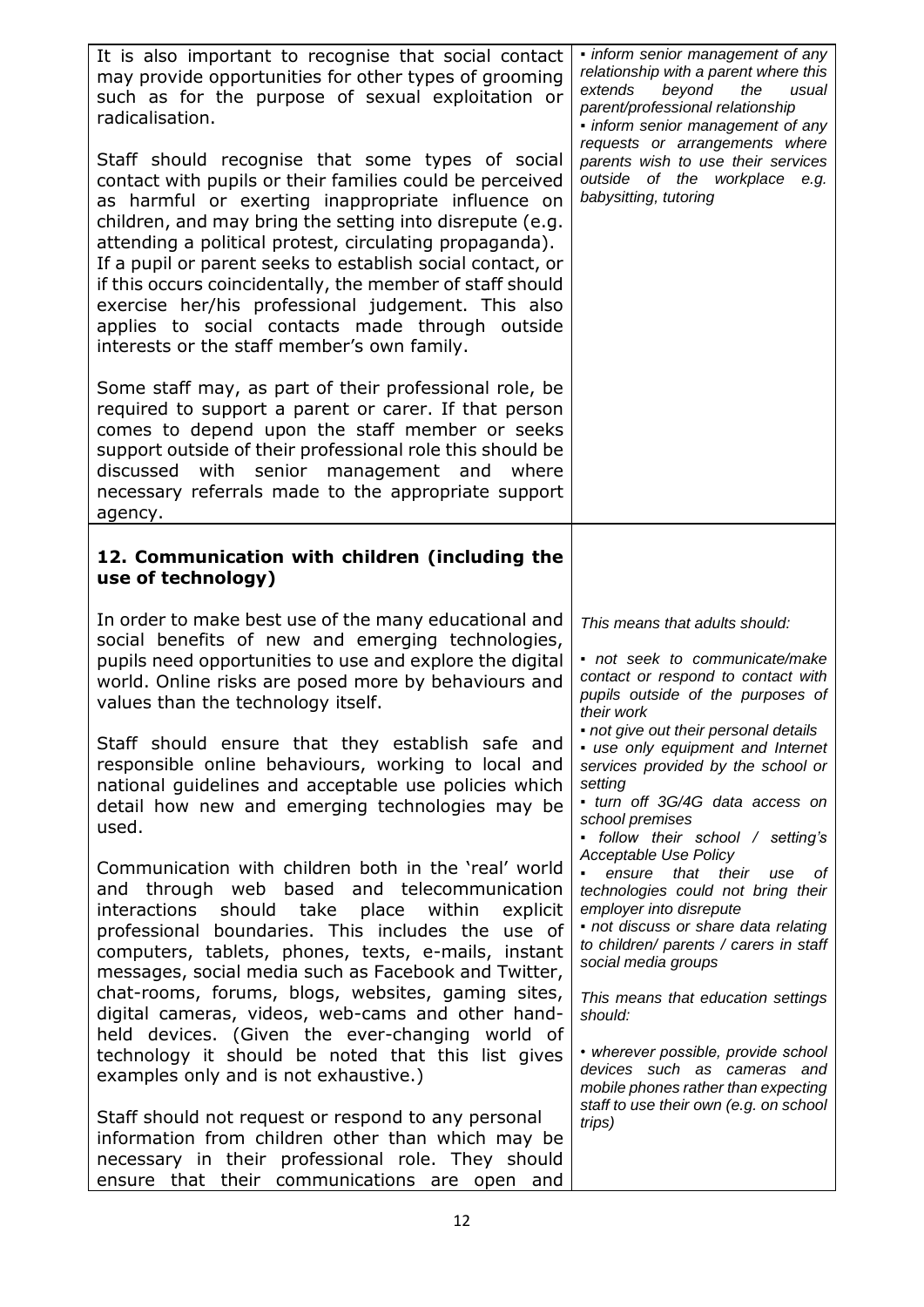| It is also important to recognise that social contact<br>may provide opportunities for other types of grooming<br>such as for the purpose of sexual exploitation or<br>radicalisation.<br>Staff should recognise that some types of social<br>contact with pupils or their families could be perceived<br>as harmful or exerting inappropriate influence on<br>children, and may bring the setting into disrepute (e.g.<br>attending a political protest, circulating propaganda).<br>If a pupil or parent seeks to establish social contact, or<br>if this occurs coincidentally, the member of staff should<br>exercise her/his professional judgement. This also<br>applies to social contacts made through outside<br>interests or the staff member's own family.<br>Some staff may, as part of their professional role, be<br>required to support a parent or carer. If that person<br>comes to depend upon the staff member or seeks<br>support outside of their professional role this should be<br>senior management and<br>discussed<br>with<br>where<br>necessary referrals made to the appropriate support<br>agency. | • inform senior management of any<br>relationship with a parent where this<br>extends<br>beyond<br>the<br>usual<br>parent/professional relationship<br>· inform senior management of any<br>requests or arrangements where<br>parents wish to use their services<br>outside of the workplace e.g.<br>babysitting, tutoring                                                                                   |
|----------------------------------------------------------------------------------------------------------------------------------------------------------------------------------------------------------------------------------------------------------------------------------------------------------------------------------------------------------------------------------------------------------------------------------------------------------------------------------------------------------------------------------------------------------------------------------------------------------------------------------------------------------------------------------------------------------------------------------------------------------------------------------------------------------------------------------------------------------------------------------------------------------------------------------------------------------------------------------------------------------------------------------------------------------------------------------------------------------------------------------|--------------------------------------------------------------------------------------------------------------------------------------------------------------------------------------------------------------------------------------------------------------------------------------------------------------------------------------------------------------------------------------------------------------|
| 12. Communication with children (including the<br>use of technology)                                                                                                                                                                                                                                                                                                                                                                                                                                                                                                                                                                                                                                                                                                                                                                                                                                                                                                                                                                                                                                                             |                                                                                                                                                                                                                                                                                                                                                                                                              |
| In order to make best use of the many educational and<br>social benefits of new and emerging technologies,<br>pupils need opportunities to use and explore the digital<br>world. Online risks are posed more by behaviours and<br>values than the technology itself.<br>Staff should ensure that they establish safe and<br>responsible online behaviours, working to local and<br>national guidelines and acceptable use policies which<br>detail how new and emerging technologies may be<br>used.                                                                                                                                                                                                                                                                                                                                                                                                                                                                                                                                                                                                                             | This means that adults should:<br>• not seek to communicate/make<br>contact or respond to contact with<br>pupils outside of the purposes of<br>their work<br>• not give out their personal details<br>· use only equipment and Internet<br>services provided by the school or<br>setting<br>• turn off 3G/4G data access on<br>school premises<br>• follow their school / setting's<br>Acceptable Use Policy |
| Communication with children both in the 'real' world<br>and through web based and telecommunication<br>interactions should<br>take<br>place<br>within<br>explicit<br>professional boundaries. This includes the use of<br>computers, tablets, phones, texts, e-mails, instant<br>messages, social media such as Facebook and Twitter,                                                                                                                                                                                                                                                                                                                                                                                                                                                                                                                                                                                                                                                                                                                                                                                            | ensure<br>that their<br>use<br>0t<br>technologies could not bring their<br>employer into disrepute<br>• not discuss or share data relating<br>to children/ parents / carers in staff<br>social media groups                                                                                                                                                                                                  |
| chat-rooms, forums, blogs, websites, gaming sites,<br>digital cameras, videos, web-cams and other hand-<br>held devices. (Given the ever-changing world of<br>technology it should be noted that this list gives<br>examples only and is not exhaustive.)                                                                                                                                                                                                                                                                                                                                                                                                                                                                                                                                                                                                                                                                                                                                                                                                                                                                        | This means that education settings<br>should:<br>• wherever possible, provide school<br>devices such as cameras and<br>mobile phones rather than expecting                                                                                                                                                                                                                                                   |
| Staff should not request or respond to any personal<br>information from children other than which may be<br>necessary in their professional role. They should<br>ensure that their communications are open and                                                                                                                                                                                                                                                                                                                                                                                                                                                                                                                                                                                                                                                                                                                                                                                                                                                                                                                   | staff to use their own (e.g. on school<br>trips)                                                                                                                                                                                                                                                                                                                                                             |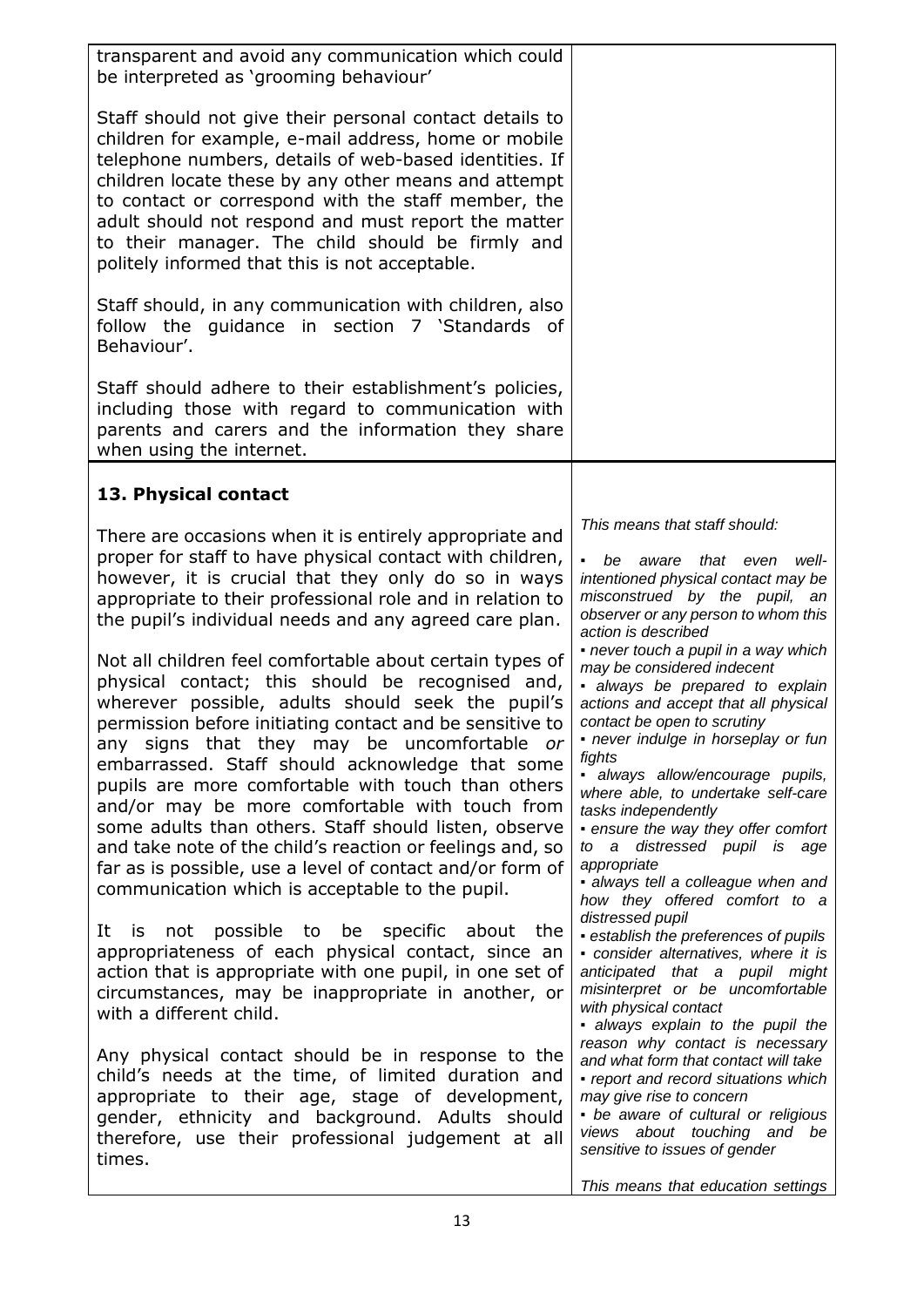| transparent and avoid any communication which could<br>be interpreted as 'grooming behaviour'                                                                                                                                                                                                                                                                                                                                                                                                                                                                                                                                                                                                                                                                                                                                                                                                                                                                                      |                                                                                                                                                                                                                                                                                                                                                                                                                                                                                                                                                                                                                                                                                                         |
|------------------------------------------------------------------------------------------------------------------------------------------------------------------------------------------------------------------------------------------------------------------------------------------------------------------------------------------------------------------------------------------------------------------------------------------------------------------------------------------------------------------------------------------------------------------------------------------------------------------------------------------------------------------------------------------------------------------------------------------------------------------------------------------------------------------------------------------------------------------------------------------------------------------------------------------------------------------------------------|---------------------------------------------------------------------------------------------------------------------------------------------------------------------------------------------------------------------------------------------------------------------------------------------------------------------------------------------------------------------------------------------------------------------------------------------------------------------------------------------------------------------------------------------------------------------------------------------------------------------------------------------------------------------------------------------------------|
| Staff should not give their personal contact details to<br>children for example, e-mail address, home or mobile<br>telephone numbers, details of web-based identities. If<br>children locate these by any other means and attempt<br>to contact or correspond with the staff member, the<br>adult should not respond and must report the matter<br>to their manager. The child should be firmly and<br>politely informed that this is not acceptable.                                                                                                                                                                                                                                                                                                                                                                                                                                                                                                                              |                                                                                                                                                                                                                                                                                                                                                                                                                                                                                                                                                                                                                                                                                                         |
| Staff should, in any communication with children, also<br>follow the guidance in section 7 'Standards of<br>Behaviour'.                                                                                                                                                                                                                                                                                                                                                                                                                                                                                                                                                                                                                                                                                                                                                                                                                                                            |                                                                                                                                                                                                                                                                                                                                                                                                                                                                                                                                                                                                                                                                                                         |
| Staff should adhere to their establishment's policies,<br>including those with regard to communication with<br>parents and carers and the information they share<br>when using the internet.                                                                                                                                                                                                                                                                                                                                                                                                                                                                                                                                                                                                                                                                                                                                                                                       |                                                                                                                                                                                                                                                                                                                                                                                                                                                                                                                                                                                                                                                                                                         |
| 13. Physical contact                                                                                                                                                                                                                                                                                                                                                                                                                                                                                                                                                                                                                                                                                                                                                                                                                                                                                                                                                               |                                                                                                                                                                                                                                                                                                                                                                                                                                                                                                                                                                                                                                                                                                         |
| There are occasions when it is entirely appropriate and<br>proper for staff to have physical contact with children,<br>however, it is crucial that they only do so in ways<br>appropriate to their professional role and in relation to<br>the pupil's individual needs and any agreed care plan.<br>Not all children feel comfortable about certain types of<br>physical contact; this should be recognised and,<br>wherever possible, adults should seek the pupil's<br>permission before initiating contact and be sensitive to<br>any signs that they may be uncomfortable or<br>embarrassed. Staff should acknowledge that some<br>pupils are more comfortable with touch than others<br>and/or may be more comfortable with touch from<br>some adults than others. Staff should listen, observe<br>and take note of the child's reaction or feelings and, so<br>far as is possible, use a level of contact and/or form of<br>communication which is acceptable to the pupil. | This means that staff should:<br>be<br>that even<br>aware<br>well-<br>intentioned physical contact may be<br>misconstrued by the pupil, an<br>observer or any person to whom this<br>action is described<br>- never touch a pupil in a way which<br>may be considered indecent<br>· always be prepared to explain<br>actions and accept that all physical<br>contact be open to scrutiny<br>· never indulge in horseplay or fun<br>fights<br>· always allow/encourage pupils,<br>where able, to undertake self-care<br>tasks independently<br>• ensure the way they offer comfort<br>to a distressed pupil is age<br>appropriate<br>· always tell a colleague when and<br>how they offered comfort to a |
| possible to be specific about<br>It<br>is<br>not<br>the<br>appropriateness of each physical contact, since an<br>action that is appropriate with one pupil, in one set of<br>circumstances, may be inappropriate in another, or<br>with a different child.                                                                                                                                                                                                                                                                                                                                                                                                                                                                                                                                                                                                                                                                                                                         | distressed pupil<br>· establish the preferences of pupils<br>• consider alternatives, where it is<br>anticipated that a pupil might<br>misinterpret or be uncomfortable<br>with physical contact<br>· always explain to the pupil the                                                                                                                                                                                                                                                                                                                                                                                                                                                                   |
| Any physical contact should be in response to the<br>child's needs at the time, of limited duration and<br>appropriate to their age, stage of development,<br>gender, ethnicity and background. Adults should<br>therefore, use their professional judgement at all<br>times.                                                                                                                                                                                                                                                                                                                                                                                                                                                                                                                                                                                                                                                                                                      | reason why contact is necessary<br>and what form that contact will take<br>• report and record situations which<br>may give rise to concern<br>• be aware of cultural or religious<br>views about touching and be<br>sensitive to issues of gender<br>This means that education settings                                                                                                                                                                                                                                                                                                                                                                                                                |
|                                                                                                                                                                                                                                                                                                                                                                                                                                                                                                                                                                                                                                                                                                                                                                                                                                                                                                                                                                                    |                                                                                                                                                                                                                                                                                                                                                                                                                                                                                                                                                                                                                                                                                                         |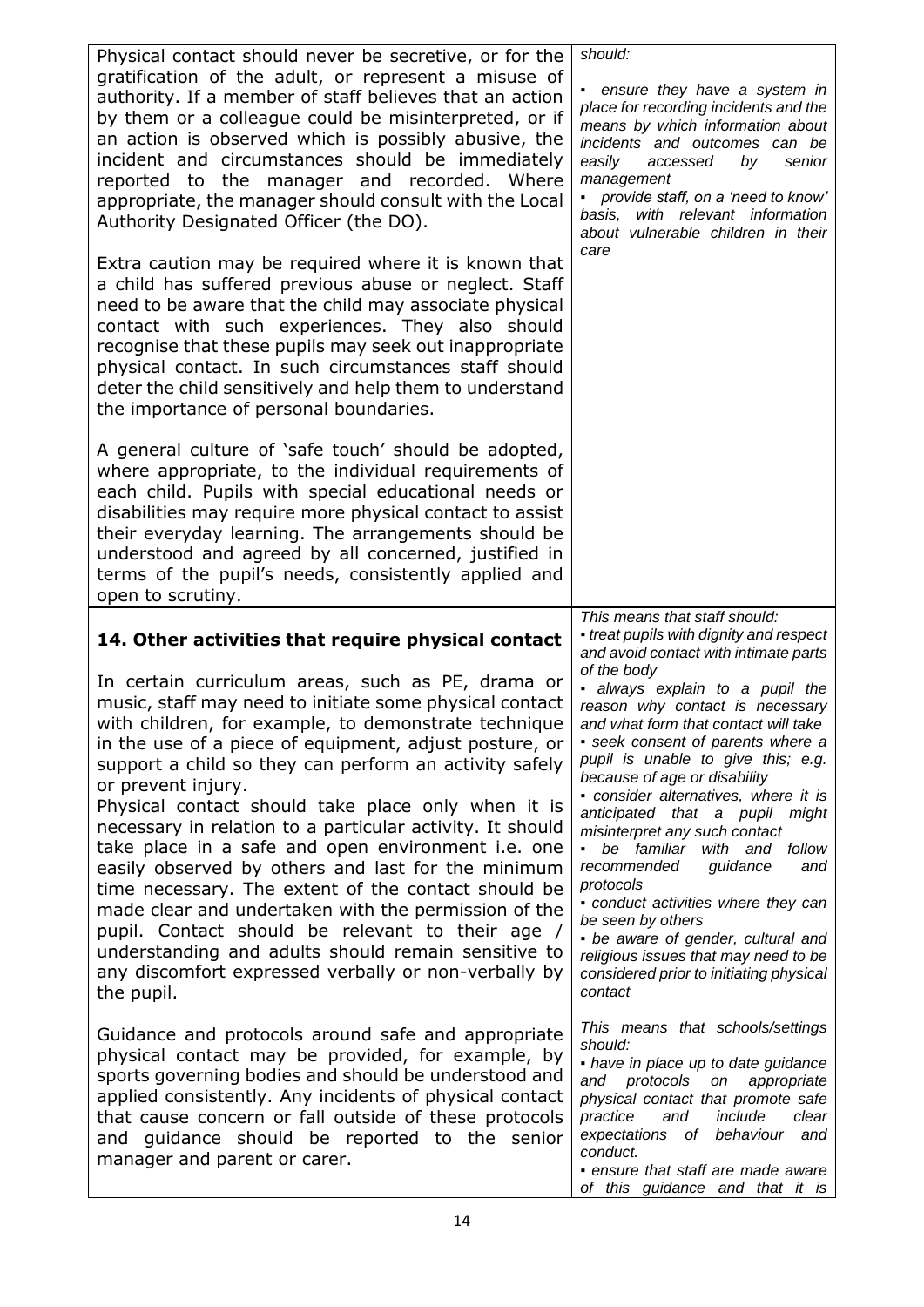| Physical contact should never be secretive, or for the<br>gratification of the adult, or represent a misuse of<br>authority. If a member of staff believes that an action<br>by them or a colleague could be misinterpreted, or if<br>an action is observed which is possibly abusive, the<br>incident and circumstances should be immediately<br>reported to the manager and recorded. Where<br>appropriate, the manager should consult with the Local<br>Authority Designated Officer (the DO).                                                                                                                                                                                                                                                                                                                                             | should:<br>• ensure they have a system in<br>place for recording incidents and the<br>means by which information about<br>incidents and outcomes can be<br>easily<br>senior<br>accessed<br>by<br>management<br>• provide staff, on a 'need to know'<br>basis, with relevant information<br>about vulnerable children in their<br>care                                                                                                                                                                                                                                                                                               |
|-----------------------------------------------------------------------------------------------------------------------------------------------------------------------------------------------------------------------------------------------------------------------------------------------------------------------------------------------------------------------------------------------------------------------------------------------------------------------------------------------------------------------------------------------------------------------------------------------------------------------------------------------------------------------------------------------------------------------------------------------------------------------------------------------------------------------------------------------|-------------------------------------------------------------------------------------------------------------------------------------------------------------------------------------------------------------------------------------------------------------------------------------------------------------------------------------------------------------------------------------------------------------------------------------------------------------------------------------------------------------------------------------------------------------------------------------------------------------------------------------|
| Extra caution may be required where it is known that<br>a child has suffered previous abuse or neglect. Staff<br>need to be aware that the child may associate physical<br>contact with such experiences. They also should<br>recognise that these pupils may seek out inappropriate<br>physical contact. In such circumstances staff should<br>deter the child sensitively and help them to understand<br>the importance of personal boundaries.                                                                                                                                                                                                                                                                                                                                                                                             |                                                                                                                                                                                                                                                                                                                                                                                                                                                                                                                                                                                                                                     |
| A general culture of 'safe touch' should be adopted,<br>where appropriate, to the individual requirements of<br>each child. Pupils with special educational needs or<br>disabilities may require more physical contact to assist<br>their everyday learning. The arrangements should be<br>understood and agreed by all concerned, justified in<br>terms of the pupil's needs, consistently applied and<br>open to scrutiny.                                                                                                                                                                                                                                                                                                                                                                                                                  |                                                                                                                                                                                                                                                                                                                                                                                                                                                                                                                                                                                                                                     |
|                                                                                                                                                                                                                                                                                                                                                                                                                                                                                                                                                                                                                                                                                                                                                                                                                                               |                                                                                                                                                                                                                                                                                                                                                                                                                                                                                                                                                                                                                                     |
| 14. Other activities that require physical contact                                                                                                                                                                                                                                                                                                                                                                                                                                                                                                                                                                                                                                                                                                                                                                                            | This means that staff should:<br>• treat pupils with dignity and respect<br>and avoid contact with intimate parts                                                                                                                                                                                                                                                                                                                                                                                                                                                                                                                   |
| In certain curriculum areas, such as PE, drama or<br>music, staff may need to initiate some physical contact<br>with children, for example, to demonstrate technique<br>in the use of a piece of equipment, adjust posture, or<br>support a child so they can perform an activity safely<br>or prevent injury.<br>Physical contact should take place only when it is<br>necessary in relation to a particular activity. It should<br>take place in a safe and open environment i.e. one<br>easily observed by others and last for the minimum<br>time necessary. The extent of the contact should be<br>made clear and undertaken with the permission of the<br>pupil. Contact should be relevant to their age /<br>understanding and adults should remain sensitive to<br>any discomfort expressed verbally or non-verbally by<br>the pupil. | of the body<br>· always explain to a pupil the<br>reason why contact is necessary<br>and what form that contact will take<br>• seek consent of parents where a<br>pupil is unable to give this; e.g.<br>because of age or disability<br>• consider alternatives, where it is<br>anticipated that a pupil might<br>misinterpret any such contact<br>be familiar<br>with and<br>follow<br>recommended<br>guidance<br>and<br>protocols<br>• conduct activities where they can<br>be seen by others<br>• be aware of gender, cultural and<br>religious issues that may need to be<br>considered prior to initiating physical<br>contact |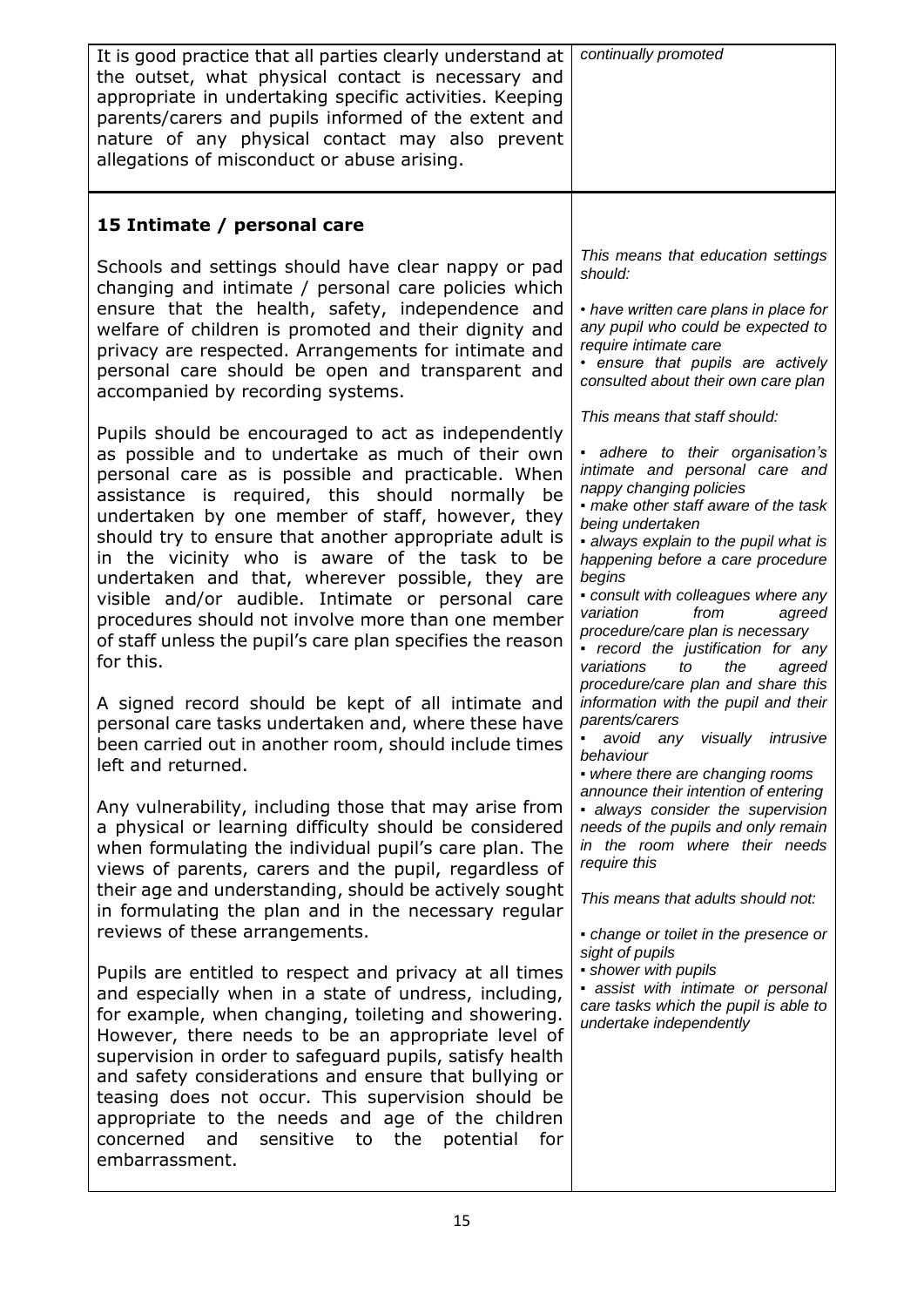| It is good practice that all parties clearly understand at<br>the outset, what physical contact is necessary and<br>appropriate in undertaking specific activities. Keeping<br>parents/carers and pupils informed of the extent and<br>nature of any physical contact may also prevent<br>allegations of misconduct or abuse arising.                                                                                                                                                                                                                                                                                                                                                                                                                                                                                                                                                                                                                                                                                                                                                                                                                                                                                                                                                                                                                                                                                                                                                                                                                                                                                                                                                                                                                                                                                                                                                                                                                                                                                                                                                                                                                      | continually promoted                                                                                                                                                                                                                                                                                                                                                                                                                                                                                                                                                                                                                                                                                                                                                                                                                                                                                                                                                                                                                                                                                                                                                                                                                                                                                    |
|------------------------------------------------------------------------------------------------------------------------------------------------------------------------------------------------------------------------------------------------------------------------------------------------------------------------------------------------------------------------------------------------------------------------------------------------------------------------------------------------------------------------------------------------------------------------------------------------------------------------------------------------------------------------------------------------------------------------------------------------------------------------------------------------------------------------------------------------------------------------------------------------------------------------------------------------------------------------------------------------------------------------------------------------------------------------------------------------------------------------------------------------------------------------------------------------------------------------------------------------------------------------------------------------------------------------------------------------------------------------------------------------------------------------------------------------------------------------------------------------------------------------------------------------------------------------------------------------------------------------------------------------------------------------------------------------------------------------------------------------------------------------------------------------------------------------------------------------------------------------------------------------------------------------------------------------------------------------------------------------------------------------------------------------------------------------------------------------------------------------------------------------------------|---------------------------------------------------------------------------------------------------------------------------------------------------------------------------------------------------------------------------------------------------------------------------------------------------------------------------------------------------------------------------------------------------------------------------------------------------------------------------------------------------------------------------------------------------------------------------------------------------------------------------------------------------------------------------------------------------------------------------------------------------------------------------------------------------------------------------------------------------------------------------------------------------------------------------------------------------------------------------------------------------------------------------------------------------------------------------------------------------------------------------------------------------------------------------------------------------------------------------------------------------------------------------------------------------------|
| 15 Intimate / personal care<br>Schools and settings should have clear nappy or pad<br>changing and intimate / personal care policies which<br>ensure that the health, safety, independence and<br>welfare of children is promoted and their dignity and<br>privacy are respected. Arrangements for intimate and<br>personal care should be open and transparent and<br>accompanied by recording systems.<br>Pupils should be encouraged to act as independently<br>as possible and to undertake as much of their own<br>personal care as is possible and practicable. When<br>assistance is required, this should normally be<br>undertaken by one member of staff, however, they<br>should try to ensure that another appropriate adult is<br>in the vicinity who is aware of the task to be<br>undertaken and that, wherever possible, they are<br>visible and/or audible. Intimate or personal care<br>procedures should not involve more than one member<br>of staff unless the pupil's care plan specifies the reason<br>for this.<br>A signed record should be kept of all intimate and<br>personal care tasks undertaken and, where these have<br>been carried out in another room, should include times<br>left and returned.<br>Any vulnerability, including those that may arise from<br>a physical or learning difficulty should be considered<br>when formulating the individual pupil's care plan. The<br>views of parents, carers and the pupil, regardless of<br>their age and understanding, should be actively sought<br>in formulating the plan and in the necessary regular<br>reviews of these arrangements.<br>Pupils are entitled to respect and privacy at all times<br>and especially when in a state of undress, including,<br>for example, when changing, toileting and showering.<br>However, there needs to be an appropriate level of<br>supervision in order to safeguard pupils, satisfy health<br>and safety considerations and ensure that bullying or<br>teasing does not occur. This supervision should be<br>appropriate to the needs and age of the children<br>concerned<br>and<br>sensitive to the potential<br>for | This means that education settings<br>should:<br>• have written care plans in place for<br>any pupil who could be expected to<br>require intimate care<br>• ensure that pupils are actively<br>consulted about their own care plan<br>This means that staff should:<br>- adhere to their organisation's<br>intimate and personal care and<br>nappy changing policies<br>• make other staff aware of the task<br>being undertaken<br>• always explain to the pupil what is<br>happening before a care procedure<br>begins<br>• consult with colleagues where any<br>from<br>variation<br>agreed<br>procedure/care plan is necessary<br>• record the justification for any<br>variations<br>to<br>the<br>agreed<br>procedure/care plan and share this<br>information with the pupil and their<br>parents/carers<br>avoid any visually intrusive<br>behaviour<br>• where there are changing rooms<br>announce their intention of entering<br>· always consider the supervision<br>needs of the pupils and only remain<br>in the room where their needs<br>require this<br>This means that adults should not:<br>• change or toilet in the presence or<br>sight of pupils<br>• shower with pupils<br>· assist with intimate or personal<br>care tasks which the pupil is able to<br>undertake independently |
| embarrassment.                                                                                                                                                                                                                                                                                                                                                                                                                                                                                                                                                                                                                                                                                                                                                                                                                                                                                                                                                                                                                                                                                                                                                                                                                                                                                                                                                                                                                                                                                                                                                                                                                                                                                                                                                                                                                                                                                                                                                                                                                                                                                                                                             |                                                                                                                                                                                                                                                                                                                                                                                                                                                                                                                                                                                                                                                                                                                                                                                                                                                                                                                                                                                                                                                                                                                                                                                                                                                                                                         |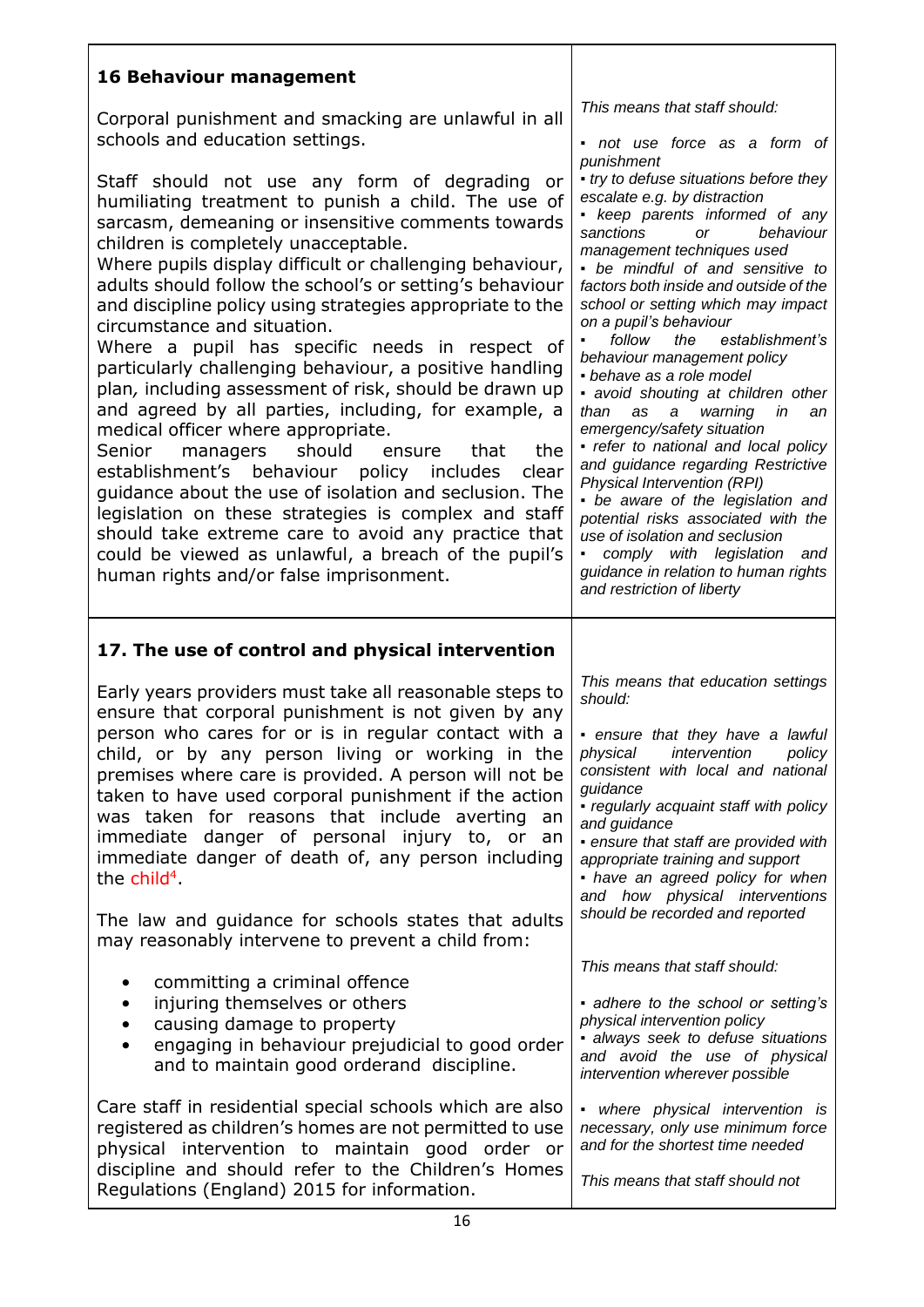| <b>16 Behaviour management</b>                                                                                                                                                                                                                                                                                                                                                                                                                                                                                                                                                                                                                                                                                                                                                                                                                                                                                                                                                                                                                                                         |                                                                                                                                                                                                                                                                                                                                                                                                                                                                                                                                                                                                                                                                                                                                                                                                                                                                                        |
|----------------------------------------------------------------------------------------------------------------------------------------------------------------------------------------------------------------------------------------------------------------------------------------------------------------------------------------------------------------------------------------------------------------------------------------------------------------------------------------------------------------------------------------------------------------------------------------------------------------------------------------------------------------------------------------------------------------------------------------------------------------------------------------------------------------------------------------------------------------------------------------------------------------------------------------------------------------------------------------------------------------------------------------------------------------------------------------|----------------------------------------------------------------------------------------------------------------------------------------------------------------------------------------------------------------------------------------------------------------------------------------------------------------------------------------------------------------------------------------------------------------------------------------------------------------------------------------------------------------------------------------------------------------------------------------------------------------------------------------------------------------------------------------------------------------------------------------------------------------------------------------------------------------------------------------------------------------------------------------|
| Corporal punishment and smacking are unlawful in all<br>schools and education settings.                                                                                                                                                                                                                                                                                                                                                                                                                                                                                                                                                                                                                                                                                                                                                                                                                                                                                                                                                                                                | This means that staff should:<br>not use force as a form of                                                                                                                                                                                                                                                                                                                                                                                                                                                                                                                                                                                                                                                                                                                                                                                                                            |
| Staff should not use any form of degrading or<br>humiliating treatment to punish a child. The use of<br>sarcasm, demeaning or insensitive comments towards<br>children is completely unacceptable.<br>Where pupils display difficult or challenging behaviour,<br>adults should follow the school's or setting's behaviour<br>and discipline policy using strategies appropriate to the<br>circumstance and situation.<br>Where a pupil has specific needs in respect of<br>particularly challenging behaviour, a positive handling<br>plan, including assessment of risk, should be drawn up<br>and agreed by all parties, including, for example, a<br>medical officer where appropriate.<br>managers<br>should<br>the<br>Senior<br>ensure<br>that<br>establishment's behaviour policy includes<br>clear<br>guidance about the use of isolation and seclusion. The<br>legislation on these strategies is complex and staff<br>should take extreme care to avoid any practice that<br>could be viewed as unlawful, a breach of the pupil's<br>human rights and/or false imprisonment. | punishment<br>• try to defuse situations before they<br>escalate e.g. by distraction<br>- keep parents informed of any<br>sanctions<br>behaviour<br><b>or</b><br>management techniques used<br>• be mindful of and sensitive to<br>factors both inside and outside of the<br>school or setting which may impact<br>on a pupil's behaviour<br>follow<br>the<br>establishment's<br>behaviour management policy<br>• behave as a role model<br>• avoid shouting at children other<br>than<br>as<br>a<br>warning<br>in<br>an<br>emergency/safety situation<br>· refer to national and local policy<br>and guidance regarding Restrictive<br>Physical Intervention (RPI)<br>• be aware of the legislation and<br>potential risks associated with the<br>use of isolation and seclusion<br>comply with legislation and<br>guidance in relation to human rights<br>and restriction of liberty |
| 17. The use of control and physical intervention                                                                                                                                                                                                                                                                                                                                                                                                                                                                                                                                                                                                                                                                                                                                                                                                                                                                                                                                                                                                                                       |                                                                                                                                                                                                                                                                                                                                                                                                                                                                                                                                                                                                                                                                                                                                                                                                                                                                                        |
| Early years providers must take all reasonable steps to<br>ensure that corporal punishment is not given by any<br>person who cares for or is in regular contact with a<br>child, or by any person living or working in the<br>premises where care is provided. A person will not be                                                                                                                                                                                                                                                                                                                                                                                                                                                                                                                                                                                                                                                                                                                                                                                                    | This means that education settings<br>should:<br>• ensure that they have a lawful<br>physical intervention<br>policy<br>consistent with local and national                                                                                                                                                                                                                                                                                                                                                                                                                                                                                                                                                                                                                                                                                                                             |
| taken to have used corporal punishment if the action<br>was taken for reasons that include averting<br>an<br>danger of personal injury to, or<br>immediate<br>an<br>immediate danger of death of, any person including<br>the $child4$<br>The law and guidance for schools states that adults<br>may reasonably intervene to prevent a child from:                                                                                                                                                                                                                                                                                                                                                                                                                                                                                                                                                                                                                                                                                                                                     | guidance<br>- regularly acquaint staff with policy<br>and guidance<br>• ensure that staff are provided with<br>appropriate training and support<br>• have an agreed policy for when<br>and how physical interventions<br>should be recorded and reported                                                                                                                                                                                                                                                                                                                                                                                                                                                                                                                                                                                                                               |
| committing a criminal offence<br>٠<br>injuring themselves or others<br>$\bullet$<br>causing damage to property<br>$\bullet$<br>engaging in behaviour prejudicial to good order<br>$\bullet$<br>and to maintain good orderand discipline.                                                                                                                                                                                                                                                                                                                                                                                                                                                                                                                                                                                                                                                                                                                                                                                                                                               | This means that staff should:<br>• adhere to the school or setting's<br>physical intervention policy<br>· always seek to defuse situations<br>and avoid the use of physical<br>intervention wherever possible                                                                                                                                                                                                                                                                                                                                                                                                                                                                                                                                                                                                                                                                          |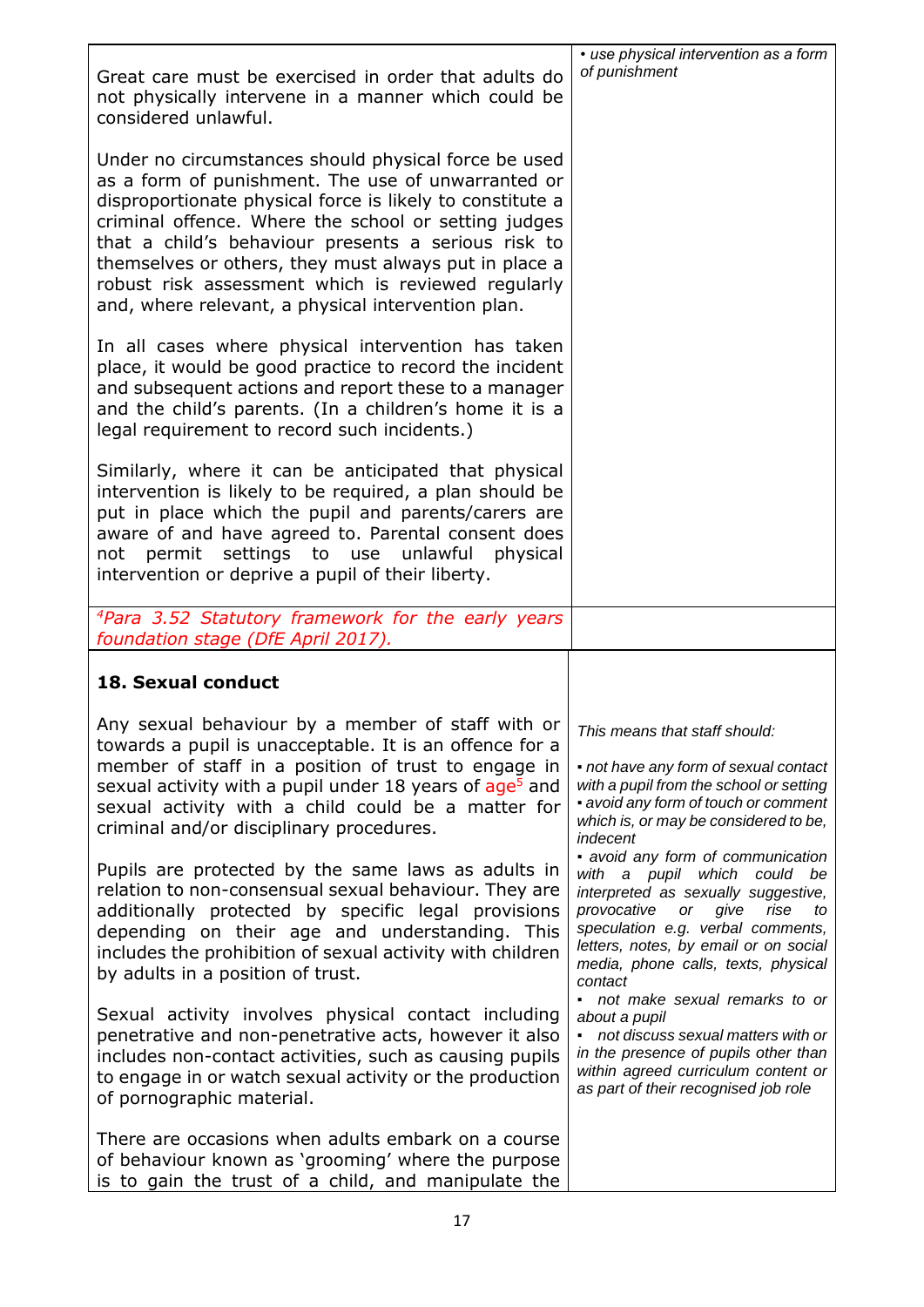| Great care must be exercised in order that adults do<br>not physically intervene in a manner which could be<br>considered unlawful.                                                                                                                                                                                                                                                                                                                                                                                                                                                                                                                                    | • use physical intervention as a form<br>of punishment                                                                                                                                                                                                                                                                                                                                                                                                                                    |
|------------------------------------------------------------------------------------------------------------------------------------------------------------------------------------------------------------------------------------------------------------------------------------------------------------------------------------------------------------------------------------------------------------------------------------------------------------------------------------------------------------------------------------------------------------------------------------------------------------------------------------------------------------------------|-------------------------------------------------------------------------------------------------------------------------------------------------------------------------------------------------------------------------------------------------------------------------------------------------------------------------------------------------------------------------------------------------------------------------------------------------------------------------------------------|
| Under no circumstances should physical force be used<br>as a form of punishment. The use of unwarranted or<br>disproportionate physical force is likely to constitute a<br>criminal offence. Where the school or setting judges<br>that a child's behaviour presents a serious risk to<br>themselves or others, they must always put in place a<br>robust risk assessment which is reviewed regularly<br>and, where relevant, a physical intervention plan.                                                                                                                                                                                                            |                                                                                                                                                                                                                                                                                                                                                                                                                                                                                           |
| In all cases where physical intervention has taken<br>place, it would be good practice to record the incident<br>and subsequent actions and report these to a manager<br>and the child's parents. (In a children's home it is a<br>legal requirement to record such incidents.)                                                                                                                                                                                                                                                                                                                                                                                        |                                                                                                                                                                                                                                                                                                                                                                                                                                                                                           |
| Similarly, where it can be anticipated that physical<br>intervention is likely to be required, a plan should be<br>put in place which the pupil and parents/carers are<br>aware of and have agreed to. Parental consent does<br>permit settings to use unlawful physical<br>not<br>intervention or deprive a pupil of their liberty.                                                                                                                                                                                                                                                                                                                                   |                                                                                                                                                                                                                                                                                                                                                                                                                                                                                           |
| <sup>4</sup> Para 3.52 Statutory framework for the early years<br>foundation stage (DfE April 2017).                                                                                                                                                                                                                                                                                                                                                                                                                                                                                                                                                                   |                                                                                                                                                                                                                                                                                                                                                                                                                                                                                           |
| 18. Sexual conduct                                                                                                                                                                                                                                                                                                                                                                                                                                                                                                                                                                                                                                                     |                                                                                                                                                                                                                                                                                                                                                                                                                                                                                           |
| Any sexual behaviour by a member of staff with or<br>towards a pupil is unacceptable. It is an offence for a<br>member of staff in a position of trust to engage in<br>sexual activity with a pupil under 18 years of age <sup>5</sup> and<br>sexual activity with a child could be a matter for<br>criminal and/or disciplinary procedures.<br>Pupils are protected by the same laws as adults in<br>relation to non-consensual sexual behaviour. They are<br>additionally protected by specific legal provisions<br>depending on their age and understanding. This<br>includes the prohibition of sexual activity with children<br>by adults in a position of trust. | This means that staff should:<br>• not have any form of sexual contact<br>with a pupil from the school or setting<br>• avoid any form of touch or comment<br>which is, or may be considered to be,<br>indecent<br>• avoid any form of communication<br>with a pupil which could be<br>interpreted as sexually suggestive,<br>provocative<br>or<br>give<br>rise<br>to<br>speculation e.g. verbal comments,<br>letters, notes, by email or on social<br>media, phone calls, texts, physical |
| Sexual activity involves physical contact including<br>penetrative and non-penetrative acts, however it also<br>includes non-contact activities, such as causing pupils<br>to engage in or watch sexual activity or the production<br>of pornographic material.                                                                                                                                                                                                                                                                                                                                                                                                        | contact<br>· not make sexual remarks to or<br>about a pupil<br>• not discuss sexual matters with or<br>in the presence of pupils other than<br>within agreed curriculum content or<br>as part of their recognised job role                                                                                                                                                                                                                                                                |
| There are occasions when adults embark on a course<br>of behaviour known as 'grooming' where the purpose<br>is to gain the trust of a child, and manipulate the                                                                                                                                                                                                                                                                                                                                                                                                                                                                                                        |                                                                                                                                                                                                                                                                                                                                                                                                                                                                                           |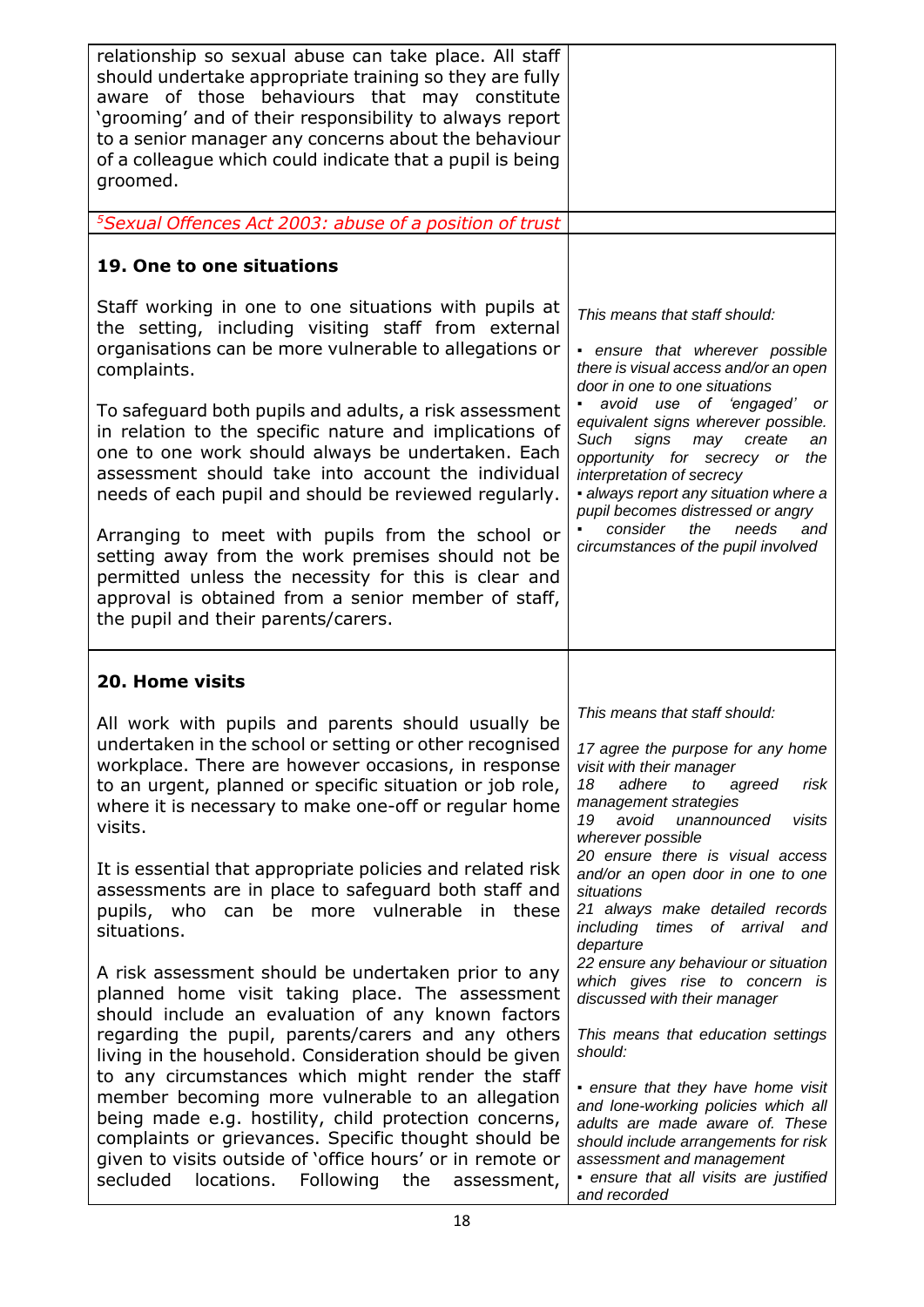| relationship so sexual abuse can take place. All staff<br>should undertake appropriate training so they are fully<br>aware of those behaviours that may constitute<br>'grooming' and of their responsibility to always report<br>to a senior manager any concerns about the behaviour<br>of a colleague which could indicate that a pupil is being<br>groomed.                                                                                                   |                                                                                                                                                                                                                                                                                              |
|------------------------------------------------------------------------------------------------------------------------------------------------------------------------------------------------------------------------------------------------------------------------------------------------------------------------------------------------------------------------------------------------------------------------------------------------------------------|----------------------------------------------------------------------------------------------------------------------------------------------------------------------------------------------------------------------------------------------------------------------------------------------|
| <sup>5</sup> Sexual Offences Act 2003: abuse of a position of trust                                                                                                                                                                                                                                                                                                                                                                                              |                                                                                                                                                                                                                                                                                              |
| 19. One to one situations                                                                                                                                                                                                                                                                                                                                                                                                                                        |                                                                                                                                                                                                                                                                                              |
| Staff working in one to one situations with pupils at<br>the setting, including visiting staff from external<br>organisations can be more vulnerable to allegations or<br>complaints.                                                                                                                                                                                                                                                                            | This means that staff should:<br>- ensure that wherever possible<br>there is visual access and/or an open<br>door in one to one situations<br>avoid use of 'engaged' or                                                                                                                      |
| To safeguard both pupils and adults, a risk assessment<br>in relation to the specific nature and implications of<br>one to one work should always be undertaken. Each<br>assessment should take into account the individual<br>needs of each pupil and should be reviewed regularly.                                                                                                                                                                             | equivalent signs wherever possible.<br>Such<br>signs<br>may<br>create<br>an<br>opportunity for secrecy or<br>the<br>interpretation of secrecy<br>· always report any situation where a<br>pupil becomes distressed or angry                                                                  |
| Arranging to meet with pupils from the school or<br>setting away from the work premises should not be<br>permitted unless the necessity for this is clear and<br>approval is obtained from a senior member of staff,<br>the pupil and their parents/carers.                                                                                                                                                                                                      | consider<br>the<br>needs<br>and<br>circumstances of the pupil involved                                                                                                                                                                                                                       |
| 20. Home visits                                                                                                                                                                                                                                                                                                                                                                                                                                                  |                                                                                                                                                                                                                                                                                              |
| All work with pupils and parents should usually be<br>undertaken in the school or setting or other recognised<br>workplace. There are however occasions, in response<br>to an urgent, planned or specific situation or job role,<br>where it is necessary to make one-off or regular home<br>visits.                                                                                                                                                             | This means that staff should:<br>17 agree the purpose for any home<br>visit with their manager<br>18<br>adhere<br>agreed<br>risk<br>to<br>management strategies<br>19<br>avoid<br>unannounced<br>visits<br>wherever possible                                                                 |
| It is essential that appropriate policies and related risk<br>assessments are in place to safeguard both staff and<br>be more vulnerable<br>pupils, who<br>in<br>these<br>can<br>situations.                                                                                                                                                                                                                                                                     | 20 ensure there is visual access<br>and/or an open door in one to one<br>situations<br>21 always make detailed records<br>including<br>times of arrival and<br>departure                                                                                                                     |
| A risk assessment should be undertaken prior to any<br>planned home visit taking place. The assessment<br>should include an evaluation of any known factors                                                                                                                                                                                                                                                                                                      | 22 ensure any behaviour or situation<br>which gives rise to concern is<br>discussed with their manager                                                                                                                                                                                       |
| regarding the pupil, parents/carers and any others<br>living in the household. Consideration should be given<br>to any circumstances which might render the staff<br>member becoming more vulnerable to an allegation<br>being made e.g. hostility, child protection concerns,<br>complaints or grievances. Specific thought should be<br>given to visits outside of 'office hours' or in remote or<br>secluded<br>locations.<br>Following<br>the<br>assessment, | This means that education settings<br>should:<br>• ensure that they have home visit<br>and lone-working policies which all<br>adults are made aware of. These<br>should include arrangements for risk<br>assessment and management<br>· ensure that all visits are justified<br>and recorded |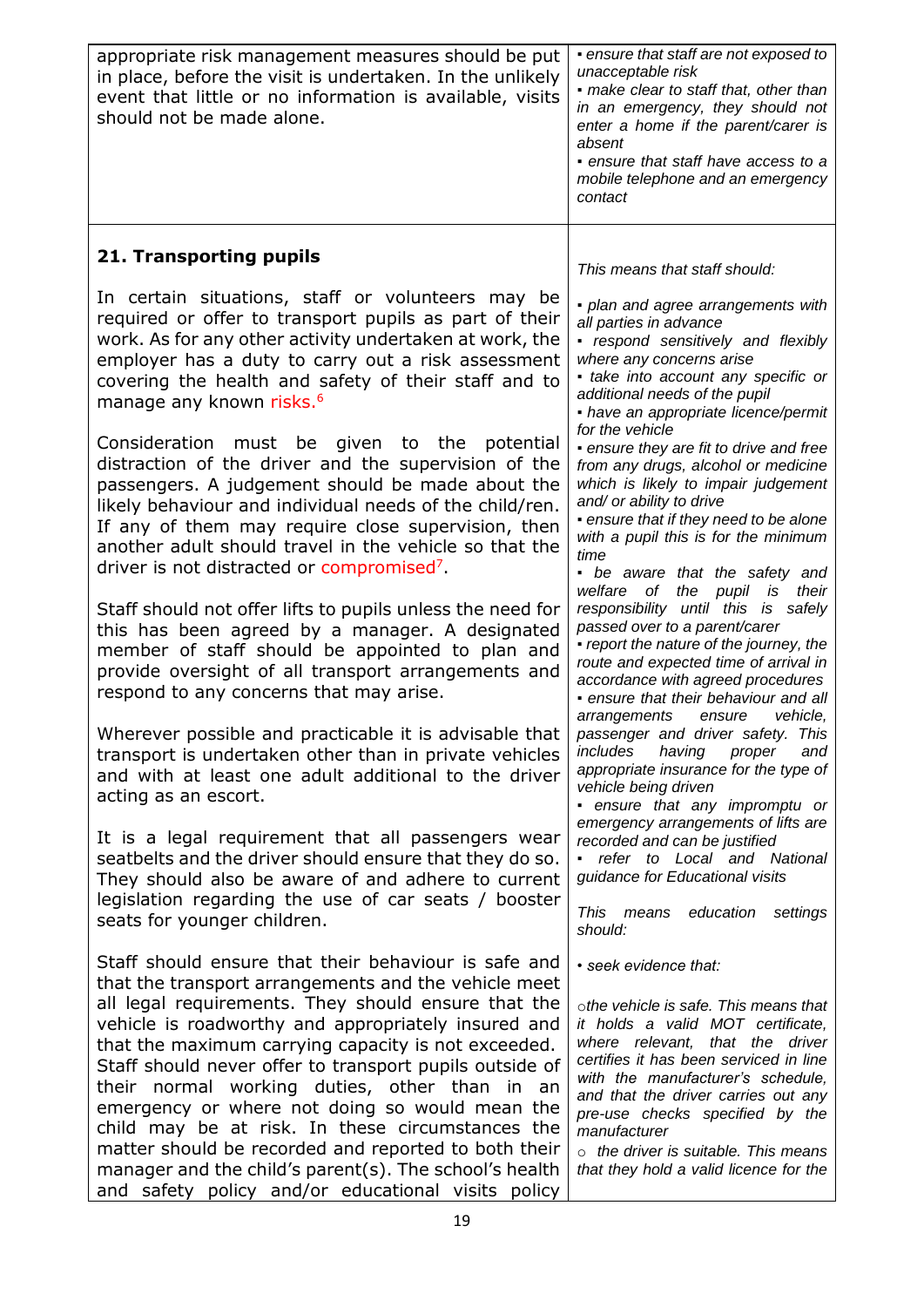| appropriate risk management measures should be put<br>in place, before the visit is undertaken. In the unlikely<br>event that little or no information is available, visits<br>should not be made alone.                                                                                                                                                                                                                                                                                                                                                                                                                                                                    | · ensure that staff are not exposed to<br>unacceptable risk<br>• make clear to staff that, other than<br>in an emergency, they should not<br>enter a home if the parent/carer is<br>absent<br>· ensure that staff have access to a<br>mobile telephone and an emergency<br>contact                                                                                                                      |
|-----------------------------------------------------------------------------------------------------------------------------------------------------------------------------------------------------------------------------------------------------------------------------------------------------------------------------------------------------------------------------------------------------------------------------------------------------------------------------------------------------------------------------------------------------------------------------------------------------------------------------------------------------------------------------|---------------------------------------------------------------------------------------------------------------------------------------------------------------------------------------------------------------------------------------------------------------------------------------------------------------------------------------------------------------------------------------------------------|
| 21. Transporting pupils                                                                                                                                                                                                                                                                                                                                                                                                                                                                                                                                                                                                                                                     | This means that staff should:                                                                                                                                                                                                                                                                                                                                                                           |
| In certain situations, staff or volunteers may be<br>required or offer to transport pupils as part of their<br>work. As for any other activity undertaken at work, the<br>employer has a duty to carry out a risk assessment<br>covering the health and safety of their staff and to<br>manage any known risks. <sup>6</sup>                                                                                                                                                                                                                                                                                                                                                | · plan and agree arrangements with<br>all parties in advance<br>- respond sensitively and flexibly<br>where any concerns arise<br>• take into account any specific or<br>additional needs of the pupil<br>- have an appropriate licence/permit<br>for the vehicle                                                                                                                                       |
| Consideration<br>must be given to the<br>potential<br>distraction of the driver and the supervision of the<br>passengers. A judgement should be made about the<br>likely behaviour and individual needs of the child/ren.<br>If any of them may require close supervision, then<br>another adult should travel in the vehicle so that the<br>driver is not distracted or compromised <sup>7</sup> .                                                                                                                                                                                                                                                                         | • ensure they are fit to drive and free<br>from any drugs, alcohol or medicine<br>which is likely to impair judgement<br>and/ or ability to drive<br>• ensure that if they need to be alone<br>with a pupil this is for the minimum<br>time<br>• be aware that the safety and                                                                                                                           |
| Staff should not offer lifts to pupils unless the need for<br>this has been agreed by a manager. A designated<br>member of staff should be appointed to plan and<br>provide oversight of all transport arrangements and<br>respond to any concerns that may arise.                                                                                                                                                                                                                                                                                                                                                                                                          | welfare of<br>the pupil is<br>their<br>responsibility until this is safely<br>passed over to a parent/carer<br>• report the nature of the journey, the<br>route and expected time of arrival in<br>accordance with agreed procedures<br>• ensure that their behaviour and all<br>arrangements<br>ensure<br>vehicle,                                                                                     |
| Wherever possible and practicable it is advisable that<br>transport is undertaken other than in private vehicles<br>and with at least one adult additional to the driver<br>acting as an escort.                                                                                                                                                                                                                                                                                                                                                                                                                                                                            | passenger and driver safety. This<br>includes<br>having proper<br>and<br>appropriate insurance for the type of<br>vehicle being driven<br>• ensure that any impromptu or                                                                                                                                                                                                                                |
| It is a legal requirement that all passengers wear<br>seatbelts and the driver should ensure that they do so.<br>They should also be aware of and adhere to current<br>legislation regarding the use of car seats / booster<br>seats for younger children.                                                                                                                                                                                                                                                                                                                                                                                                                  | emergency arrangements of lifts are<br>recorded and can be justified<br>• refer to Local and National<br>guidance for Educational visits<br>This means education<br>settings<br>should:                                                                                                                                                                                                                 |
| Staff should ensure that their behaviour is safe and<br>that the transport arrangements and the vehicle meet<br>all legal requirements. They should ensure that the<br>vehicle is roadworthy and appropriately insured and<br>that the maximum carrying capacity is not exceeded.<br>Staff should never offer to transport pupils outside of<br>their normal working duties, other than in an<br>emergency or where not doing so would mean the<br>child may be at risk. In these circumstances the<br>matter should be recorded and reported to both their<br>manager and the child's parent(s). The school's health<br>and safety policy and/or educational visits policy | • seek evidence that:<br>othe vehicle is safe. This means that<br>it holds a valid MOT certificate,<br>where relevant, that the driver<br>certifies it has been serviced in line<br>with the manufacturer's schedule,<br>and that the driver carries out any<br>pre-use checks specified by the<br>manufacturer<br>$\circ$ the driver is suitable. This means<br>that they hold a valid licence for the |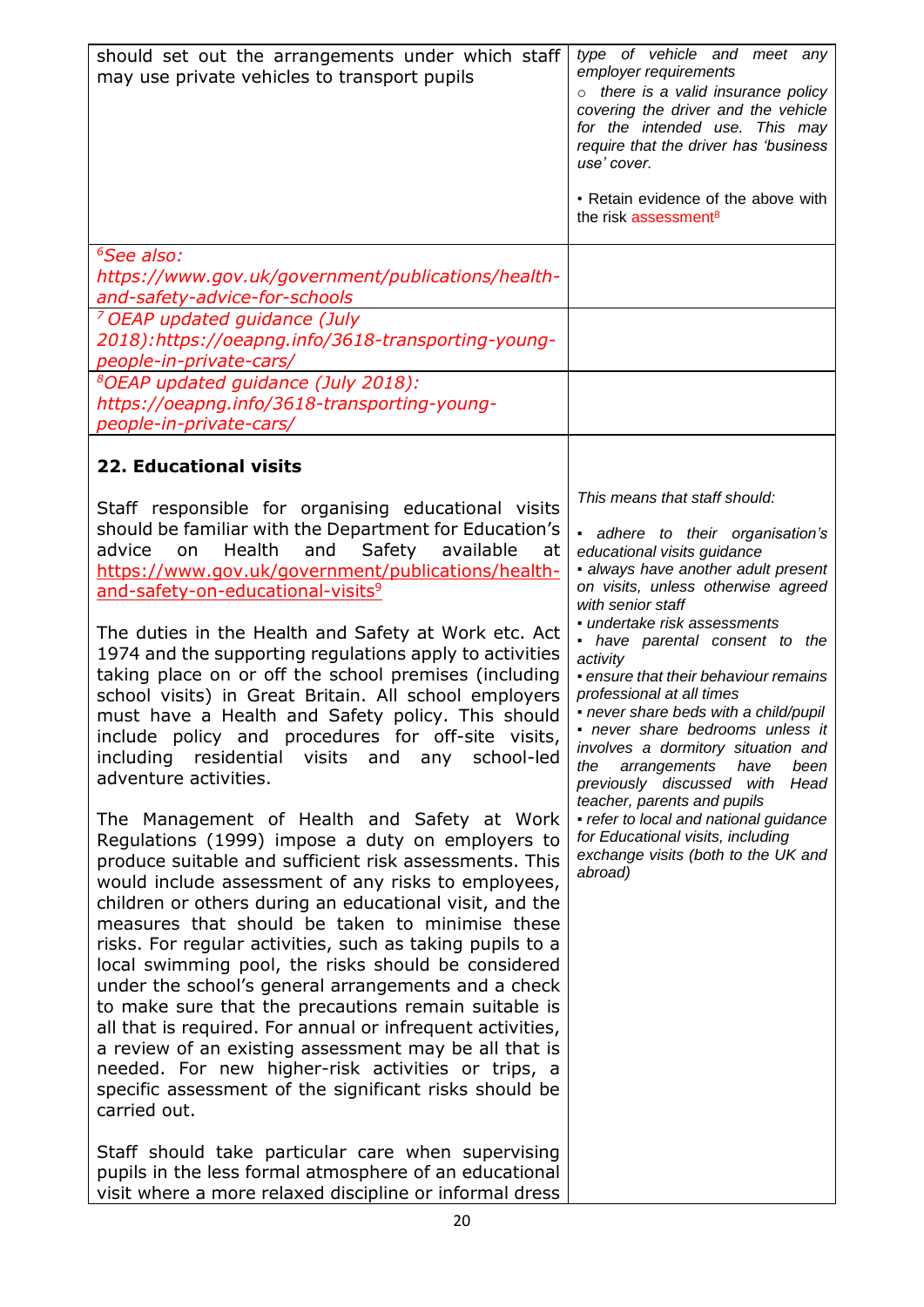| should set out the arrangements under which staff<br>may use private vehicles to transport pupils                                                                                                                                                                                                                                                                                                                                                                                                                                                                                                                                                                                                                                                                                                                                                                                                                                                                                                                                                                                                                                                                                                                                                                                                                                                                                                                                                                                                                                       | type of vehicle and meet any<br>employer requirements<br>o there is a valid insurance policy<br>covering the driver and the vehicle<br>for the intended use. This may<br>require that the driver has 'business<br>use' cover.<br>• Retain evidence of the above with<br>the risk assessment <sup>8</sup>                                                                                                                                                                                                                                                                                                                                                                                                         |
|-----------------------------------------------------------------------------------------------------------------------------------------------------------------------------------------------------------------------------------------------------------------------------------------------------------------------------------------------------------------------------------------------------------------------------------------------------------------------------------------------------------------------------------------------------------------------------------------------------------------------------------------------------------------------------------------------------------------------------------------------------------------------------------------------------------------------------------------------------------------------------------------------------------------------------------------------------------------------------------------------------------------------------------------------------------------------------------------------------------------------------------------------------------------------------------------------------------------------------------------------------------------------------------------------------------------------------------------------------------------------------------------------------------------------------------------------------------------------------------------------------------------------------------------|------------------------------------------------------------------------------------------------------------------------------------------------------------------------------------------------------------------------------------------------------------------------------------------------------------------------------------------------------------------------------------------------------------------------------------------------------------------------------------------------------------------------------------------------------------------------------------------------------------------------------------------------------------------------------------------------------------------|
| <sup>6</sup> See also:<br>https://www.gov.uk/government/publications/health-<br>and-safety-advice-for-schools                                                                                                                                                                                                                                                                                                                                                                                                                                                                                                                                                                                                                                                                                                                                                                                                                                                                                                                                                                                                                                                                                                                                                                                                                                                                                                                                                                                                                           |                                                                                                                                                                                                                                                                                                                                                                                                                                                                                                                                                                                                                                                                                                                  |
| <sup>7</sup> OEAP updated guidance (July<br>2018):https://oeapng.info/3618-transporting-young-<br>people-in-private-cars/                                                                                                                                                                                                                                                                                                                                                                                                                                                                                                                                                                                                                                                                                                                                                                                                                                                                                                                                                                                                                                                                                                                                                                                                                                                                                                                                                                                                               |                                                                                                                                                                                                                                                                                                                                                                                                                                                                                                                                                                                                                                                                                                                  |
| <sup>8</sup> OEAP updated guidance (July 2018):<br>https://oeapng.info/3618-transporting-young-<br>people-in-private-cars/                                                                                                                                                                                                                                                                                                                                                                                                                                                                                                                                                                                                                                                                                                                                                                                                                                                                                                                                                                                                                                                                                                                                                                                                                                                                                                                                                                                                              |                                                                                                                                                                                                                                                                                                                                                                                                                                                                                                                                                                                                                                                                                                                  |
| <b>22. Educational visits</b>                                                                                                                                                                                                                                                                                                                                                                                                                                                                                                                                                                                                                                                                                                                                                                                                                                                                                                                                                                                                                                                                                                                                                                                                                                                                                                                                                                                                                                                                                                           |                                                                                                                                                                                                                                                                                                                                                                                                                                                                                                                                                                                                                                                                                                                  |
| Staff responsible for organising educational visits<br>should be familiar with the Department for Education's<br>and Safety available<br>advice<br>Health<br>at<br>on<br>https://www.gov.uk/government/publications/health-<br>and-safety-on-educational-visits <sup>9</sup><br>The duties in the Health and Safety at Work etc. Act<br>1974 and the supporting regulations apply to activities<br>taking place on or off the school premises (including<br>school visits) in Great Britain. All school employers<br>must have a Health and Safety policy. This should<br>include policy and procedures for off-site visits,<br>residential visits and any school-led<br>including<br>adventure activities.<br>The Management of Health and Safety at Work<br>Regulations (1999) impose a duty on employers to<br>produce suitable and sufficient risk assessments. This<br>would include assessment of any risks to employees,<br>children or others during an educational visit, and the<br>measures that should be taken to minimise these<br>risks. For regular activities, such as taking pupils to a<br>local swimming pool, the risks should be considered<br>under the school's general arrangements and a check<br>to make sure that the precautions remain suitable is<br>all that is required. For annual or infrequent activities,<br>a review of an existing assessment may be all that is<br>needed. For new higher-risk activities or trips, a<br>specific assessment of the significant risks should be<br>carried out. | This means that staff should:<br>adhere to their organisation's<br>educational visits guidance<br>· always have another adult present<br>on visits, unless otherwise agreed<br>with senior staff<br>· undertake risk assessments<br>• have parental consent to the<br>activity<br>• ensure that their behaviour remains<br>professional at all times<br>- never share beds with a child/pupil<br>- never share bedrooms unless it<br>involves a dormitory situation and<br>arrangements<br>the<br>have<br>been<br>previously discussed with Head<br>teacher, parents and pupils<br>• refer to local and national guidance<br>for Educational visits, including<br>exchange visits (both to the UK and<br>abroad) |
| Staff should take particular care when supervising<br>pupils in the less formal atmosphere of an educational<br>visit where a more relaxed discipline or informal dress                                                                                                                                                                                                                                                                                                                                                                                                                                                                                                                                                                                                                                                                                                                                                                                                                                                                                                                                                                                                                                                                                                                                                                                                                                                                                                                                                                 |                                                                                                                                                                                                                                                                                                                                                                                                                                                                                                                                                                                                                                                                                                                  |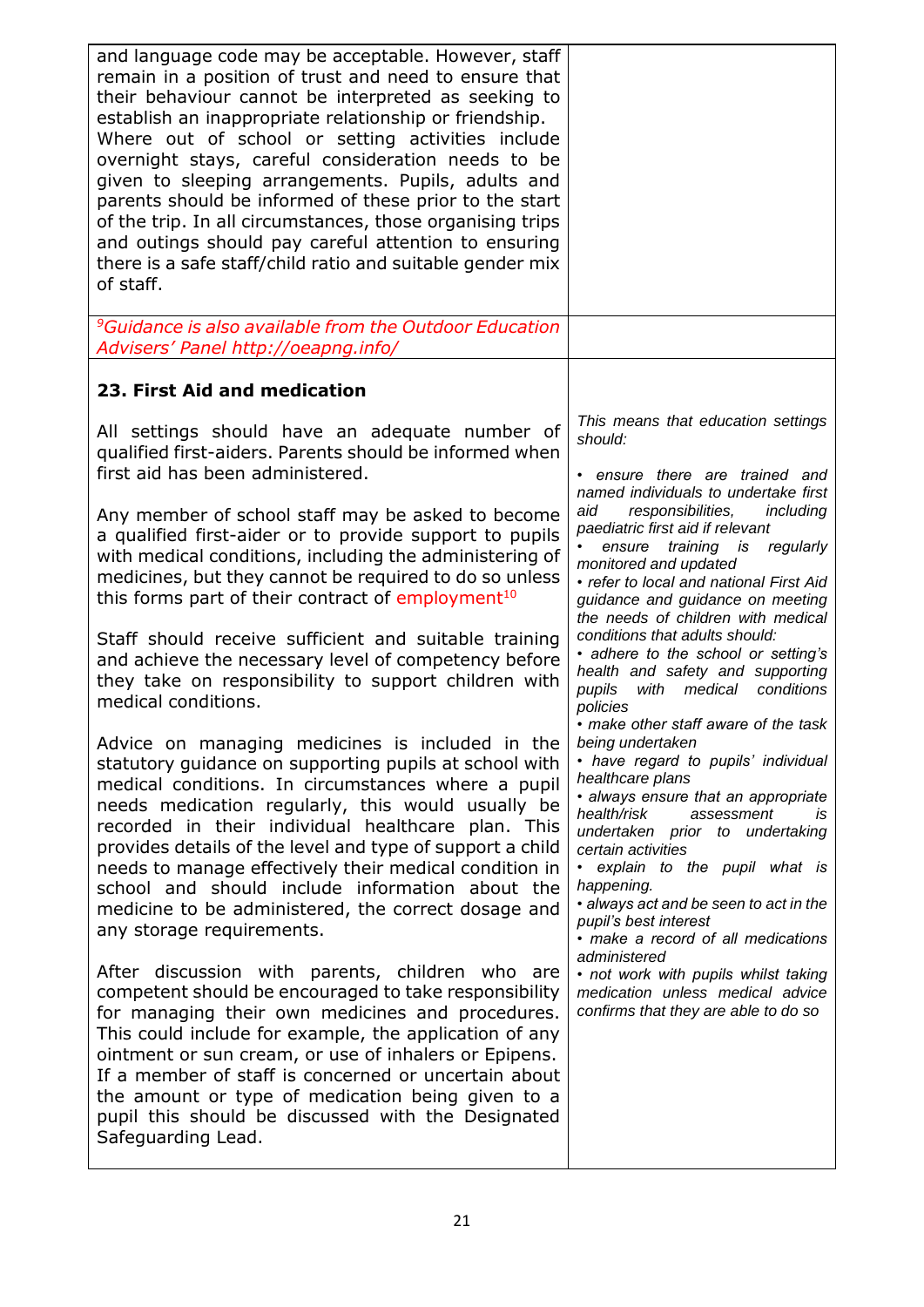| and language code may be acceptable. However, staff<br>remain in a position of trust and need to ensure that<br>their behaviour cannot be interpreted as seeking to<br>establish an inappropriate relationship or friendship.<br>Where out of school or setting activities include<br>overnight stays, careful consideration needs to be<br>given to sleeping arrangements. Pupils, adults and<br>parents should be informed of these prior to the start<br>of the trip. In all circumstances, those organising trips<br>and outings should pay careful attention to ensuring<br>there is a safe staff/child ratio and suitable gender mix<br>of staff.                                                                                                                                                                                                                                                                                                                                                                                                                                                                                                                                                                                                                                                                                                                                                                                                                                                                                                                                                                                                                     |                                                                                                                                                                                                                                                                                                                                                                                                                                                                                                                                                                                                                                                                                                                                                                                                                                                                                                                                                                                                                                                                                                                |
|-----------------------------------------------------------------------------------------------------------------------------------------------------------------------------------------------------------------------------------------------------------------------------------------------------------------------------------------------------------------------------------------------------------------------------------------------------------------------------------------------------------------------------------------------------------------------------------------------------------------------------------------------------------------------------------------------------------------------------------------------------------------------------------------------------------------------------------------------------------------------------------------------------------------------------------------------------------------------------------------------------------------------------------------------------------------------------------------------------------------------------------------------------------------------------------------------------------------------------------------------------------------------------------------------------------------------------------------------------------------------------------------------------------------------------------------------------------------------------------------------------------------------------------------------------------------------------------------------------------------------------------------------------------------------------|----------------------------------------------------------------------------------------------------------------------------------------------------------------------------------------------------------------------------------------------------------------------------------------------------------------------------------------------------------------------------------------------------------------------------------------------------------------------------------------------------------------------------------------------------------------------------------------------------------------------------------------------------------------------------------------------------------------------------------------------------------------------------------------------------------------------------------------------------------------------------------------------------------------------------------------------------------------------------------------------------------------------------------------------------------------------------------------------------------------|
| <sup>9</sup> Guidance is also available from the Outdoor Education<br>Advisers' Panel http://oeapng.info/                                                                                                                                                                                                                                                                                                                                                                                                                                                                                                                                                                                                                                                                                                                                                                                                                                                                                                                                                                                                                                                                                                                                                                                                                                                                                                                                                                                                                                                                                                                                                                   |                                                                                                                                                                                                                                                                                                                                                                                                                                                                                                                                                                                                                                                                                                                                                                                                                                                                                                                                                                                                                                                                                                                |
| 23. First Aid and medication                                                                                                                                                                                                                                                                                                                                                                                                                                                                                                                                                                                                                                                                                                                                                                                                                                                                                                                                                                                                                                                                                                                                                                                                                                                                                                                                                                                                                                                                                                                                                                                                                                                |                                                                                                                                                                                                                                                                                                                                                                                                                                                                                                                                                                                                                                                                                                                                                                                                                                                                                                                                                                                                                                                                                                                |
| All settings should have an adequate number of<br>qualified first-aiders. Parents should be informed when<br>first aid has been administered.<br>Any member of school staff may be asked to become<br>a qualified first-aider or to provide support to pupils<br>with medical conditions, including the administering of<br>medicines, but they cannot be required to do so unless<br>this forms part of their contract of employment <sup>10</sup><br>Staff should receive sufficient and suitable training<br>and achieve the necessary level of competency before<br>they take on responsibility to support children with<br>medical conditions.<br>Advice on managing medicines is included in the<br>statutory guidance on supporting pupils at school with<br>medical conditions. In circumstances where a pupil<br>needs medication regularly, this would usually be<br>recorded in their individual healthcare plan. This<br>provides details of the level and type of support a child<br>needs to manage effectively their medical condition in<br>school and should include information about the<br>medicine to be administered, the correct dosage and<br>any storage requirements.<br>After discussion with parents, children who are<br>competent should be encouraged to take responsibility<br>for managing their own medicines and procedures.<br>This could include for example, the application of any<br>ointment or sun cream, or use of inhalers or Epipens.<br>If a member of staff is concerned or uncertain about<br>the amount or type of medication being given to a<br>pupil this should be discussed with the Designated<br>Safeguarding Lead. | This means that education settings<br>should:<br>• ensure there are trained and<br>named individuals to undertake first<br>aid<br>responsibilities,<br>including<br>paediatric first aid if relevant<br>regularly<br>training is<br>ensure<br>monitored and updated<br>• refer to local and national First Aid<br>guidance and guidance on meeting<br>the needs of children with medical<br>conditions that adults should:<br>· adhere to the school or setting's<br>health and safety and supporting<br>with medical conditions<br>pupils<br>policies<br>• make other staff aware of the task<br>being undertaken<br>• have regard to pupils' individual<br>healthcare plans<br>· always ensure that an appropriate<br>health/risk<br>assessment<br>IS.<br>undertaken prior to undertaking<br>certain activities<br>· explain to the pupil what is<br>happening.<br>· always act and be seen to act in the<br>pupil's best interest<br>· make a record of all medications<br>administered<br>• not work with pupils whilst taking<br>medication unless medical advice<br>confirms that they are able to do so |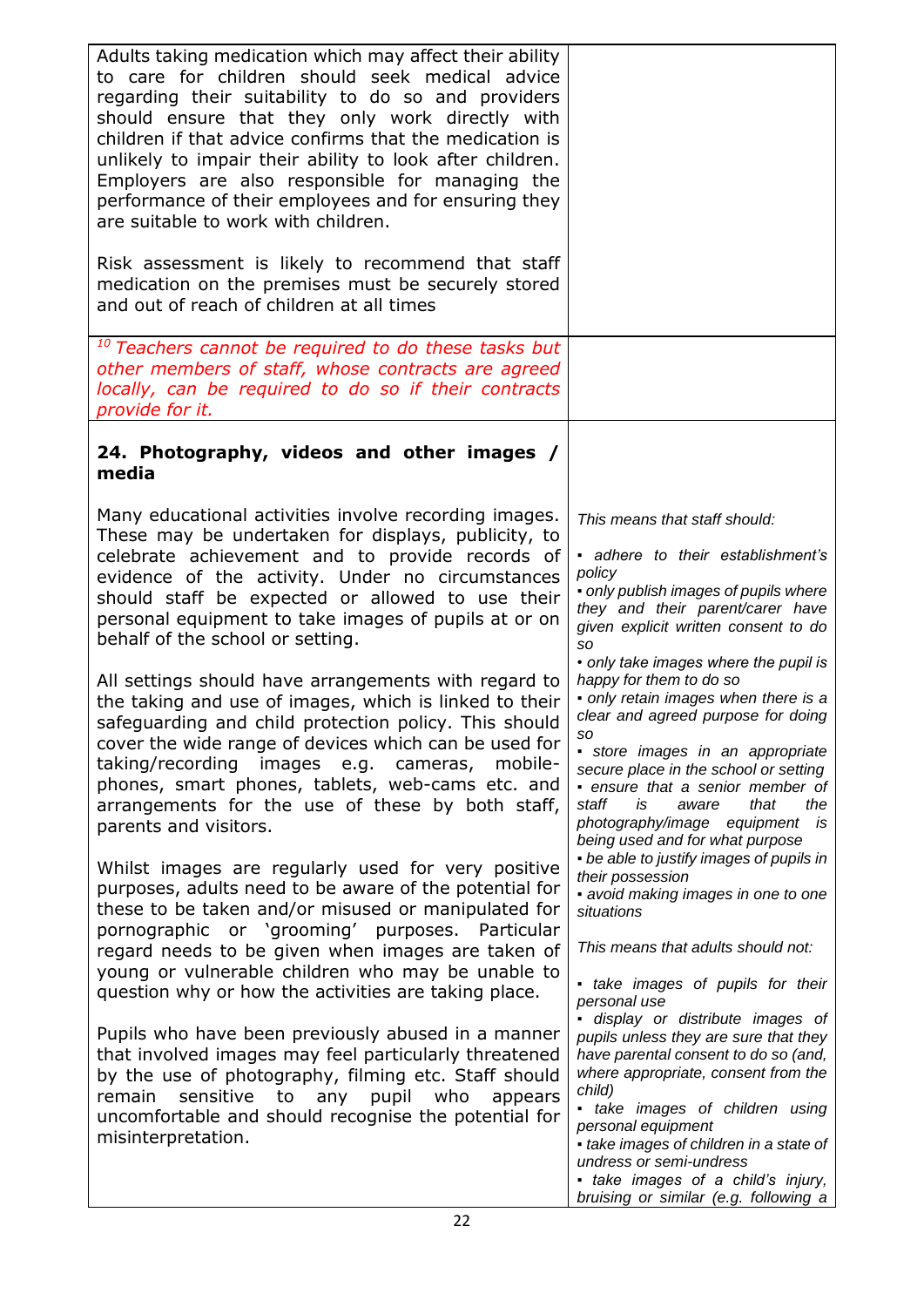| Adults taking medication which may affect their ability<br>to care for children should seek medical advice<br>regarding their suitability to do so and providers<br>should ensure that they only work directly with<br>children if that advice confirms that the medication is<br>unlikely to impair their ability to look after children.<br>Employers are also responsible for managing the<br>performance of their employees and for ensuring they<br>are suitable to work with children. |                                                                                                                                                                                                                                                                                                                                                                                   |
|----------------------------------------------------------------------------------------------------------------------------------------------------------------------------------------------------------------------------------------------------------------------------------------------------------------------------------------------------------------------------------------------------------------------------------------------------------------------------------------------|-----------------------------------------------------------------------------------------------------------------------------------------------------------------------------------------------------------------------------------------------------------------------------------------------------------------------------------------------------------------------------------|
| Risk assessment is likely to recommend that staff<br>medication on the premises must be securely stored<br>and out of reach of children at all times                                                                                                                                                                                                                                                                                                                                         |                                                                                                                                                                                                                                                                                                                                                                                   |
| <sup>10</sup> Teachers cannot be required to do these tasks but<br>other members of staff, whose contracts are agreed<br>locally, can be required to do so if their contracts<br>provide for it.                                                                                                                                                                                                                                                                                             |                                                                                                                                                                                                                                                                                                                                                                                   |
| 24. Photography, videos and other images /<br>media                                                                                                                                                                                                                                                                                                                                                                                                                                          |                                                                                                                                                                                                                                                                                                                                                                                   |
| Many educational activities involve recording images.<br>These may be undertaken for displays, publicity, to<br>celebrate achievement and to provide records of<br>evidence of the activity. Under no circumstances<br>should staff be expected or allowed to use their<br>personal equipment to take images of pupils at or on<br>behalf of the school or setting.                                                                                                                          | This means that staff should:<br>adhere to their establishment's<br>policy<br>• only publish images of pupils where<br>they and their parent/carer have<br>given explicit written consent to do<br>so<br>• only take images where the pupil is                                                                                                                                    |
| All settings should have arrangements with regard to<br>the taking and use of images, which is linked to their<br>safeguarding and child protection policy. This should<br>cover the wide range of devices which can be used for<br>taking/recording images e.g. cameras, mobile-<br>phones, smart phones, tablets, web-cams etc. and<br>arrangements for the use of these by both staff,<br>parents and visitors.                                                                           | happy for them to do so<br>• only retain images when there is a<br>clear and agreed purpose for doing<br>so<br>store images in an appropriate<br>secure place in the school or setting<br>· ensure that a senior member of<br>that<br>staff<br>is<br>aware<br>the<br>photography/image equipment is<br>being used and for what purpose                                            |
| Whilst images are regularly used for very positive<br>purposes, adults need to be aware of the potential for<br>these to be taken and/or misused or manipulated for<br>pornographic or 'grooming' purposes. Particular<br>regard needs to be given when images are taken of<br>young or vulnerable children who may be unable to<br>question why or how the activities are taking place.                                                                                                     | • be able to justify images of pupils in<br>their possession<br>• avoid making images in one to one<br>situations<br>This means that adults should not:<br>· take images of pupils for their<br>personal use                                                                                                                                                                      |
| Pupils who have been previously abused in a manner<br>that involved images may feel particularly threatened<br>by the use of photography, filming etc. Staff should<br>any pupil who<br>remain<br>sensitive<br>to<br>appears<br>uncomfortable and should recognise the potential for<br>misinterpretation.                                                                                                                                                                                   | · display or distribute images of<br>pupils unless they are sure that they<br>have parental consent to do so (and,<br>where appropriate, consent from the<br>child)<br>• take images of children using<br>personal equipment<br>• take images of children in a state of<br>undress or semi-undress<br>- take images of a child's injury,<br>bruising or similar (e.g. following a |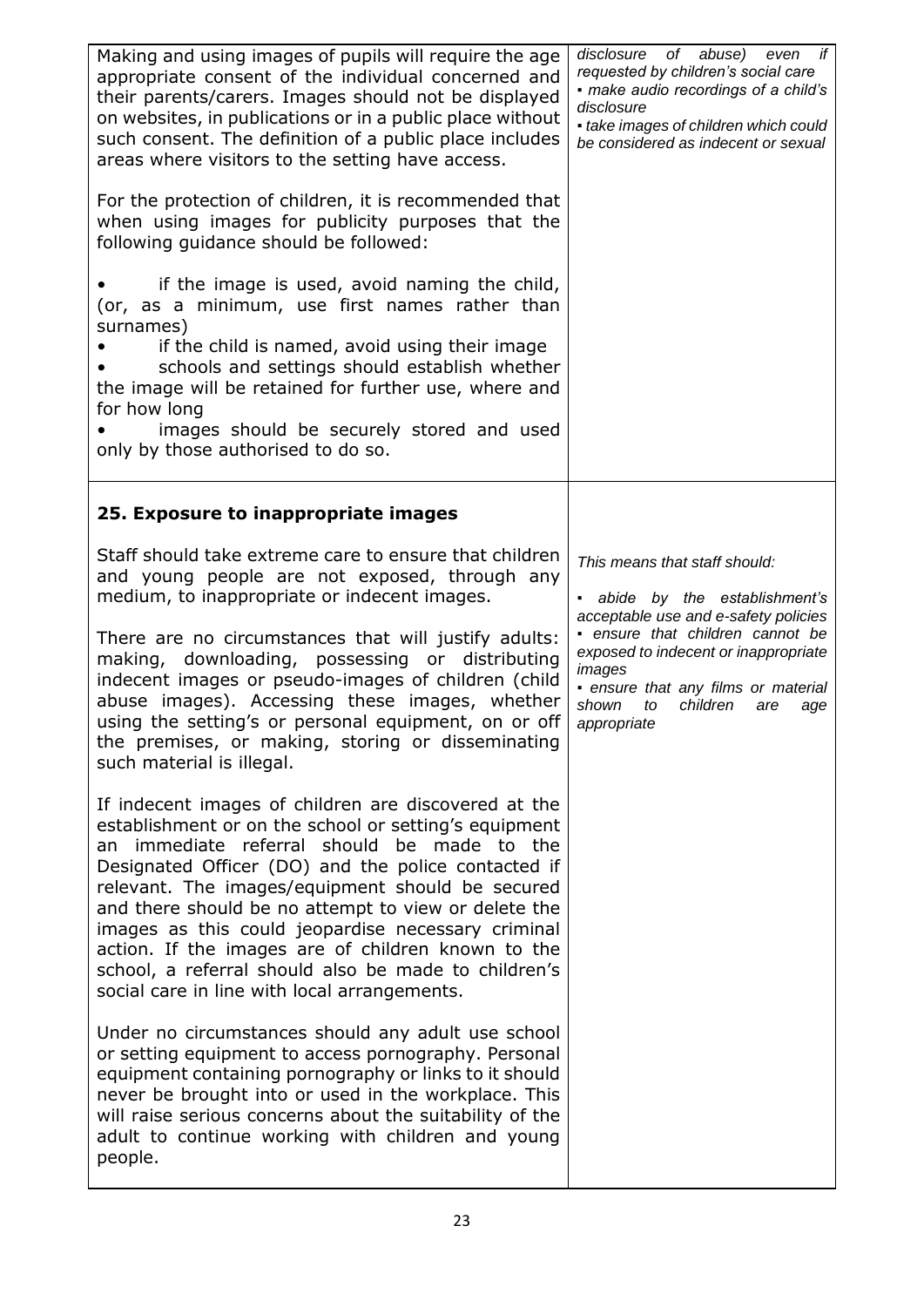| Making and using images of pupils will require the age<br>appropriate consent of the individual concerned and<br>their parents/carers. Images should not be displayed<br>on websites, in publications or in a public place without<br>such consent. The definition of a public place includes<br>areas where visitors to the setting have access.<br>For the protection of children, it is recommended that                                                                                                                                            | disclosure of abuse)<br>even<br>if<br>requested by children's social care<br>- make audio recordings of a child's<br>disclosure<br>• take images of children which could<br>be considered as indecent or sexual                                                                              |
|--------------------------------------------------------------------------------------------------------------------------------------------------------------------------------------------------------------------------------------------------------------------------------------------------------------------------------------------------------------------------------------------------------------------------------------------------------------------------------------------------------------------------------------------------------|----------------------------------------------------------------------------------------------------------------------------------------------------------------------------------------------------------------------------------------------------------------------------------------------|
| when using images for publicity purposes that the<br>following guidance should be followed:<br>if the image is used, avoid naming the child,                                                                                                                                                                                                                                                                                                                                                                                                           |                                                                                                                                                                                                                                                                                              |
| (or, as a minimum, use first names rather than<br>surnames)<br>if the child is named, avoid using their image<br>schools and settings should establish whether<br>the image will be retained for further use, where and<br>for how long<br>images should be securely stored and used<br>only by those authorised to do so.                                                                                                                                                                                                                             |                                                                                                                                                                                                                                                                                              |
| 25. Exposure to inappropriate images                                                                                                                                                                                                                                                                                                                                                                                                                                                                                                                   |                                                                                                                                                                                                                                                                                              |
| Staff should take extreme care to ensure that children<br>and young people are not exposed, through any<br>medium, to inappropriate or indecent images.<br>There are no circumstances that will justify adults:<br>downloading, possessing or distributing<br>making,<br>indecent images or pseudo-images of children (child<br>abuse images). Accessing these images, whether<br>using the setting's or personal equipment, on or off<br>the premises, or making, storing or disseminating<br>such material is illegal.                               | This means that staff should:<br>- abide by the establishment's<br>acceptable use and e-safety policies<br>· ensure that children cannot be<br>exposed to indecent or inappropriate<br>images<br>· ensure that any films or material<br>shown<br>to<br>children<br>are<br>age<br>appropriate |
| If indecent images of children are discovered at the<br>establishment or on the school or setting's equipment<br>immediate referral should be made to the<br>an<br>Designated Officer (DO) and the police contacted if<br>relevant. The images/equipment should be secured<br>and there should be no attempt to view or delete the<br>images as this could jeopardise necessary criminal<br>action. If the images are of children known to the<br>school, a referral should also be made to children's<br>social care in line with local arrangements. |                                                                                                                                                                                                                                                                                              |
| Under no circumstances should any adult use school<br>or setting equipment to access pornography. Personal<br>equipment containing pornography or links to it should<br>never be brought into or used in the workplace. This<br>will raise serious concerns about the suitability of the<br>adult to continue working with children and young<br>people.                                                                                                                                                                                               |                                                                                                                                                                                                                                                                                              |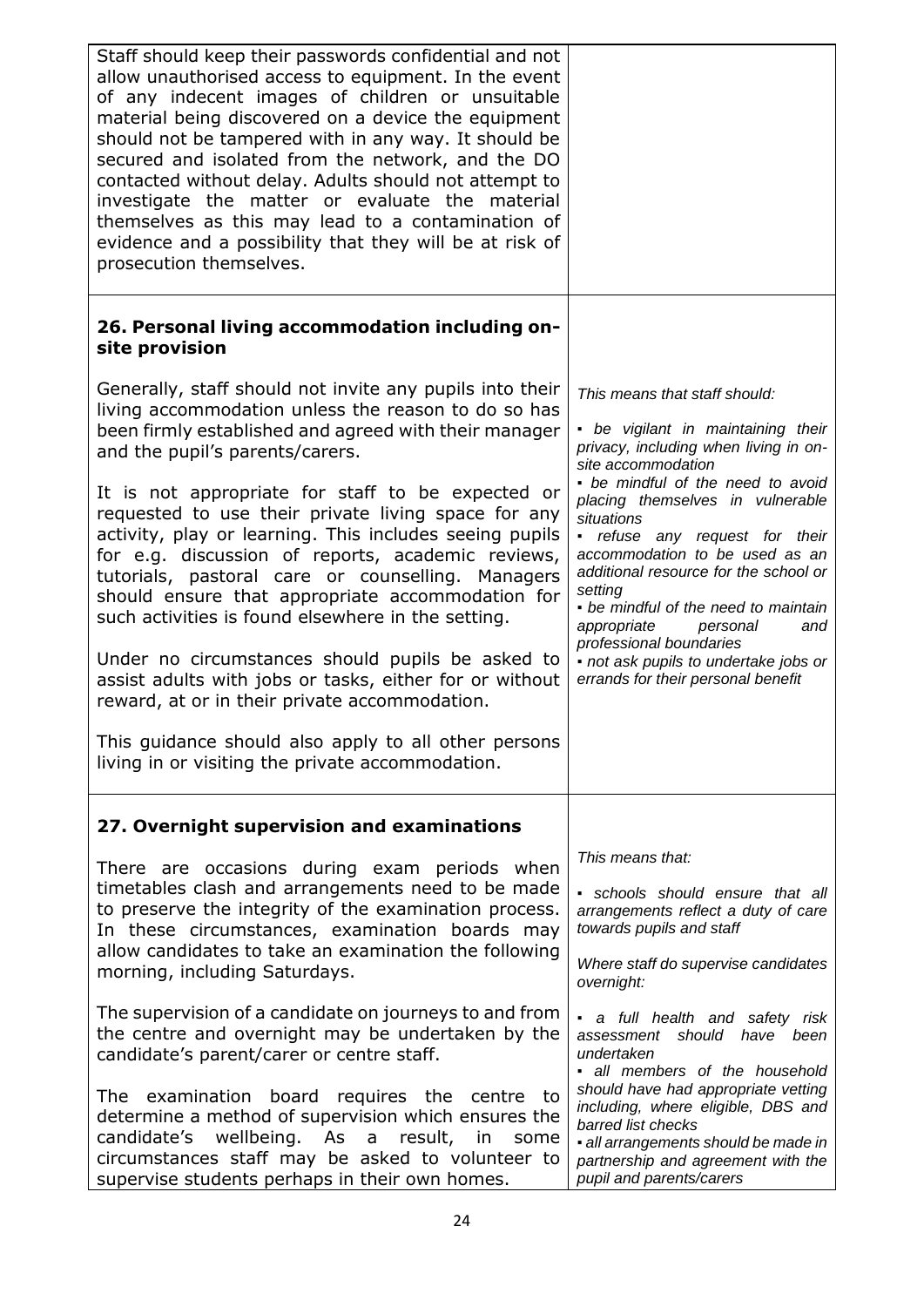| Staff should keep their passwords confidential and not<br>allow unauthorised access to equipment. In the event<br>of any indecent images of children or unsuitable<br>material being discovered on a device the equipment<br>should not be tampered with in any way. It should be<br>secured and isolated from the network, and the DO<br>contacted without delay. Adults should not attempt to<br>investigate the matter or evaluate the material<br>themselves as this may lead to a contamination of<br>evidence and a possibility that they will be at risk of<br>prosecution themselves. |                                                                                                                                                                                                                                                                                                                                                                                                 |
|-----------------------------------------------------------------------------------------------------------------------------------------------------------------------------------------------------------------------------------------------------------------------------------------------------------------------------------------------------------------------------------------------------------------------------------------------------------------------------------------------------------------------------------------------------------------------------------------------|-------------------------------------------------------------------------------------------------------------------------------------------------------------------------------------------------------------------------------------------------------------------------------------------------------------------------------------------------------------------------------------------------|
| 26. Personal living accommodation including on-<br>site provision                                                                                                                                                                                                                                                                                                                                                                                                                                                                                                                             |                                                                                                                                                                                                                                                                                                                                                                                                 |
| Generally, staff should not invite any pupils into their<br>living accommodation unless the reason to do so has<br>been firmly established and agreed with their manager<br>and the pupil's parents/carers.                                                                                                                                                                                                                                                                                                                                                                                   | This means that staff should:<br>• be vigilant in maintaining their<br>privacy, including when living in on-<br>site accommodation                                                                                                                                                                                                                                                              |
| It is not appropriate for staff to be expected or<br>requested to use their private living space for any<br>activity, play or learning. This includes seeing pupils<br>for e.g. discussion of reports, academic reviews,<br>tutorials, pastoral care or counselling. Managers<br>should ensure that appropriate accommodation for<br>such activities is found elsewhere in the setting.<br>Under no circumstances should pupils be asked to<br>assist adults with jobs or tasks, either for or without<br>reward, at or in their private accommodation.                                       | • be mindful of the need to avoid<br>placing themselves in vulnerable<br>situations<br>• refuse any request for their<br>accommodation to be used as an<br>additional resource for the school or<br>setting<br>• be mindful of the need to maintain<br>appropriate<br>personal<br>and<br>professional boundaries<br>· not ask pupils to undertake jobs or<br>errands for their personal benefit |
| This guidance should also apply to all other persons<br>living in or visiting the private accommodation.                                                                                                                                                                                                                                                                                                                                                                                                                                                                                      |                                                                                                                                                                                                                                                                                                                                                                                                 |
| 27. Overnight supervision and examinations                                                                                                                                                                                                                                                                                                                                                                                                                                                                                                                                                    |                                                                                                                                                                                                                                                                                                                                                                                                 |
| There are occasions during exam periods when<br>timetables clash and arrangements need to be made<br>to preserve the integrity of the examination process.<br>In these circumstances, examination boards may<br>allow candidates to take an examination the following<br>morning, including Saturdays.                                                                                                                                                                                                                                                                                        | This means that:<br>· schools should ensure that all<br>arrangements reflect a duty of care<br>towards pupils and staff<br>Where staff do supervise candidates<br>overnight:                                                                                                                                                                                                                    |
| The supervision of a candidate on journeys to and from<br>the centre and overnight may be undertaken by the<br>candidate's parent/carer or centre staff.                                                                                                                                                                                                                                                                                                                                                                                                                                      | • a full health and safety risk<br>assessment should have been<br>undertaken<br>· all members of the household                                                                                                                                                                                                                                                                                  |
| The examination board<br>requires the centre to<br>determine a method of supervision which ensures the<br>wellbeing. As a result,<br>candidate's<br>in<br>some<br>circumstances staff may be asked to volunteer to<br>supervise students perhaps in their own homes.                                                                                                                                                                                                                                                                                                                          | should have had appropriate vetting<br>including, where eligible, DBS and<br>barred list checks<br>· all arrangements should be made in<br>partnership and agreement with the<br>pupil and parents/carers                                                                                                                                                                                       |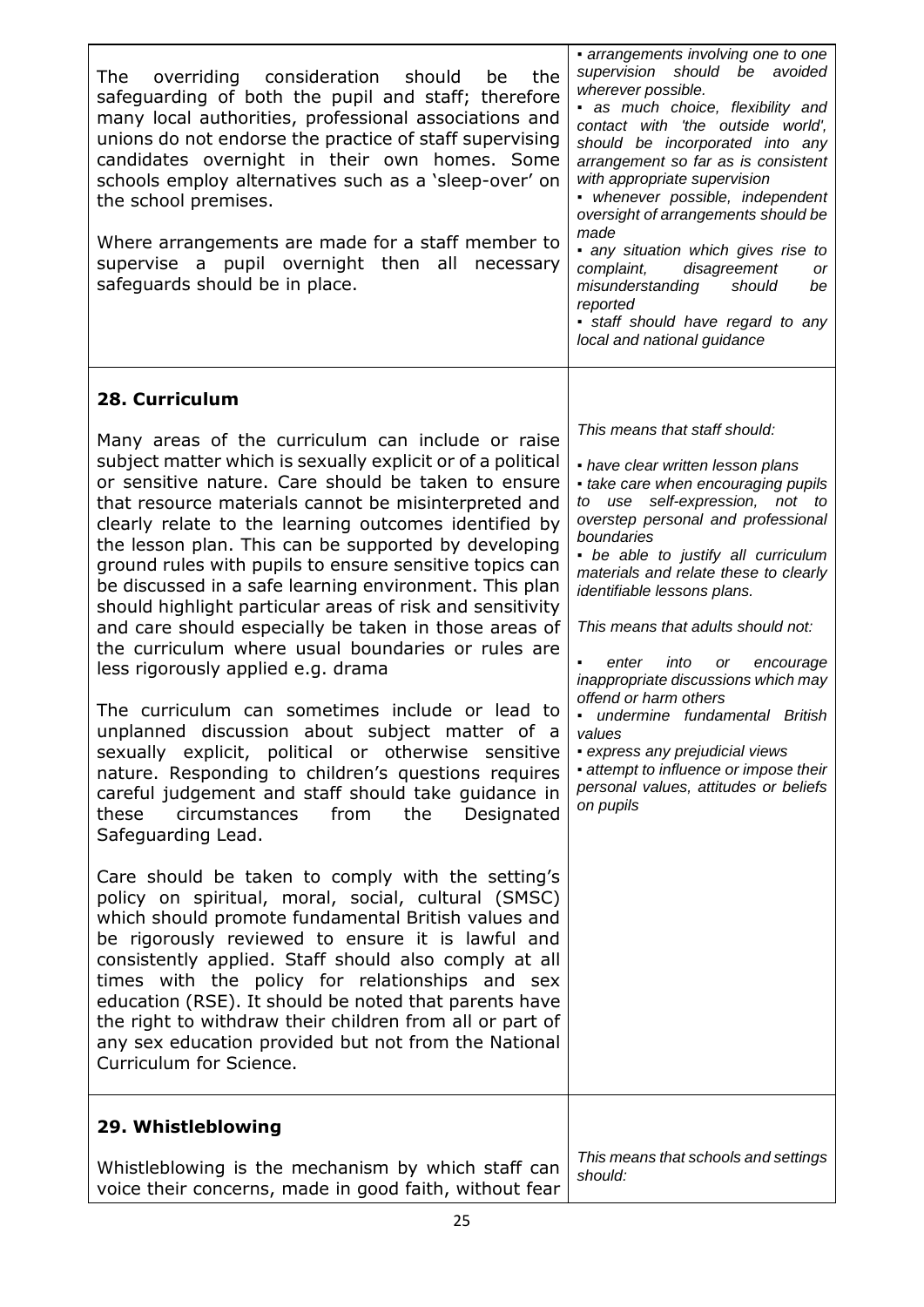| overriding consideration<br>the<br>The<br>should<br>be<br>safeguarding of both the pupil and staff; therefore<br>many local authorities, professional associations and<br>unions do not endorse the practice of staff supervising<br>candidates overnight in their own homes. Some<br>schools employ alternatives such as a 'sleep-over' on<br>the school premises.<br>Where arrangements are made for a staff member to<br>supervise a pupil overnight then all<br>necessary<br>safeguards should be in place.                                                                                                                                                                                                                                                                                                                                                                                                                                                                                                                                   | • arrangements involving one to one<br>supervision should be avoided<br>wherever possible.<br>as much choice, flexibility and<br>contact with 'the outside world',<br>should be incorporated into any<br>arrangement so far as is consistent<br>with appropriate supervision<br>• whenever possible, independent<br>oversight of arrangements should be<br>made<br>• any situation which gives rise to<br>complaint,<br>disagreement<br>or<br>misunderstanding<br>should<br>be<br>reported<br>· staff should have regard to any<br>local and national guidance                                                                         |
|---------------------------------------------------------------------------------------------------------------------------------------------------------------------------------------------------------------------------------------------------------------------------------------------------------------------------------------------------------------------------------------------------------------------------------------------------------------------------------------------------------------------------------------------------------------------------------------------------------------------------------------------------------------------------------------------------------------------------------------------------------------------------------------------------------------------------------------------------------------------------------------------------------------------------------------------------------------------------------------------------------------------------------------------------|----------------------------------------------------------------------------------------------------------------------------------------------------------------------------------------------------------------------------------------------------------------------------------------------------------------------------------------------------------------------------------------------------------------------------------------------------------------------------------------------------------------------------------------------------------------------------------------------------------------------------------------|
| 28. Curriculum                                                                                                                                                                                                                                                                                                                                                                                                                                                                                                                                                                                                                                                                                                                                                                                                                                                                                                                                                                                                                                    |                                                                                                                                                                                                                                                                                                                                                                                                                                                                                                                                                                                                                                        |
| Many areas of the curriculum can include or raise<br>subject matter which is sexually explicit or of a political<br>or sensitive nature. Care should be taken to ensure<br>that resource materials cannot be misinterpreted and<br>clearly relate to the learning outcomes identified by<br>the lesson plan. This can be supported by developing<br>ground rules with pupils to ensure sensitive topics can<br>be discussed in a safe learning environment. This plan<br>should highlight particular areas of risk and sensitivity<br>and care should especially be taken in those areas of<br>the curriculum where usual boundaries or rules are<br>less rigorously applied e.g. drama<br>The curriculum can sometimes include or lead to<br>unplanned discussion about subject matter of<br>a<br>sexually explicit, political or otherwise sensitive<br>nature. Responding to children's questions requires<br>careful judgement and staff should take guidance in<br>circumstances<br>from<br>the<br>Designated<br>these<br>Safeguarding Lead. | This means that staff should:<br>• have clear written lesson plans<br>• take care when encouraging pupils<br>to use self-expression, not to<br>overstep personal and professional<br>boundaries<br>• be able to justify all curriculum<br>materials and relate these to clearly<br>identifiable lessons plans.<br>This means that adults should not:<br>enter<br>into<br>or<br>encourage<br>inappropriate discussions which may<br>offend or harm others<br>undermine fundamental British<br>values<br>• express any prejudicial views<br>• attempt to influence or impose their<br>personal values, attitudes or beliefs<br>on pupils |
| Care should be taken to comply with the setting's<br>policy on spiritual, moral, social, cultural (SMSC)<br>which should promote fundamental British values and<br>be rigorously reviewed to ensure it is lawful and<br>consistently applied. Staff should also comply at all<br>times with the policy for relationships and sex<br>education (RSE). It should be noted that parents have<br>the right to withdraw their children from all or part of<br>any sex education provided but not from the National<br>Curriculum for Science.                                                                                                                                                                                                                                                                                                                                                                                                                                                                                                          |                                                                                                                                                                                                                                                                                                                                                                                                                                                                                                                                                                                                                                        |
| 29. Whistleblowing                                                                                                                                                                                                                                                                                                                                                                                                                                                                                                                                                                                                                                                                                                                                                                                                                                                                                                                                                                                                                                |                                                                                                                                                                                                                                                                                                                                                                                                                                                                                                                                                                                                                                        |
| Whistleblowing is the mechanism by which staff can<br>voice their concerns, made in good faith, without fear                                                                                                                                                                                                                                                                                                                                                                                                                                                                                                                                                                                                                                                                                                                                                                                                                                                                                                                                      | This means that schools and settings<br>should:                                                                                                                                                                                                                                                                                                                                                                                                                                                                                                                                                                                        |